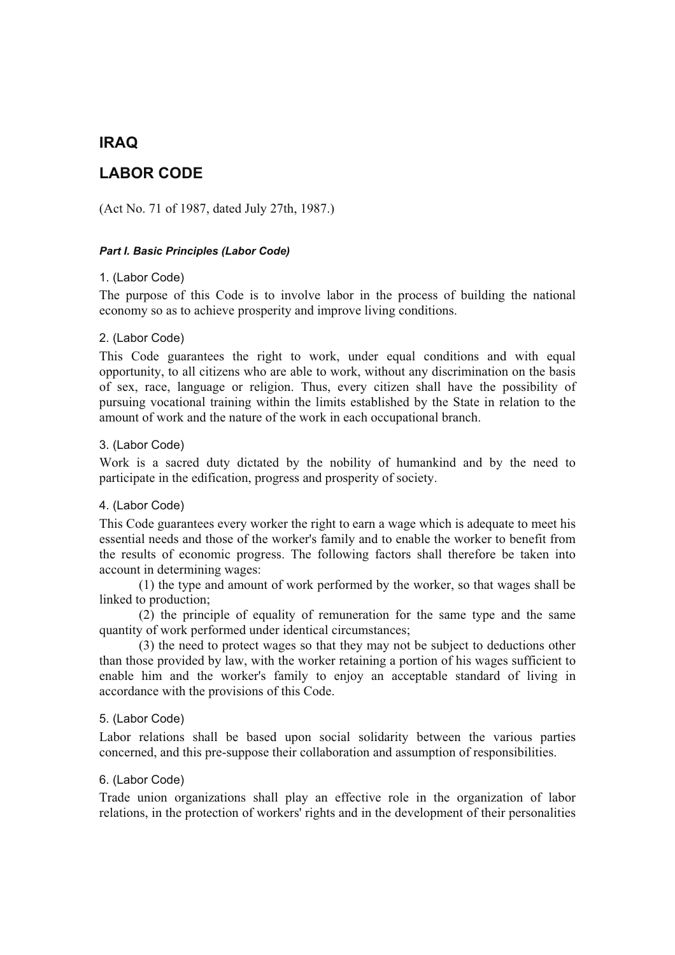# **IRAQ**

# **LABOR CODE**

(Act No. 71 of 1987, dated July 27th, 1987.)

### *Part I. Basic Principles (Labor Code)*

### 1. (Labor Code)

The purpose of this Code is to involve labor in the process of building the national economy so as to achieve prosperity and improve living conditions.

### 2. (Labor Code)

This Code guarantees the right to work, under equal conditions and with equal opportunity, to all citizens who are able to work, without any discrimination on the basis of sex, race, language or religion. Thus, every citizen shall have the possibility of pursuing vocational training within the limits established by the State in relation to the amount of work and the nature of the work in each occupational branch.

### 3. (Labor Code)

Work is a sacred duty dictated by the nobility of humankind and by the need to participate in the edification, progress and prosperity of society.

#### 4. (Labor Code)

This Code guarantees every worker the right to earn a wage which is adequate to meet his essential needs and those of the worker's family and to enable the worker to benefit from the results of economic progress. The following factors shall therefore be taken into account in determining wages:

 (1) the type and amount of work performed by the worker, so that wages shall be linked to production;

 (2) the principle of equality of remuneration for the same type and the same quantity of work performed under identical circumstances;

 (3) the need to protect wages so that they may not be subject to deductions other than those provided by law, with the worker retaining a portion of his wages sufficient to enable him and the worker's family to enjoy an acceptable standard of living in accordance with the provisions of this Code.

#### 5. (Labor Code)

Labor relations shall be based upon social solidarity between the various parties concerned, and this pre-suppose their collaboration and assumption of responsibilities.

#### 6. (Labor Code)

Trade union organizations shall play an effective role in the organization of labor relations, in the protection of workers' rights and in the development of their personalities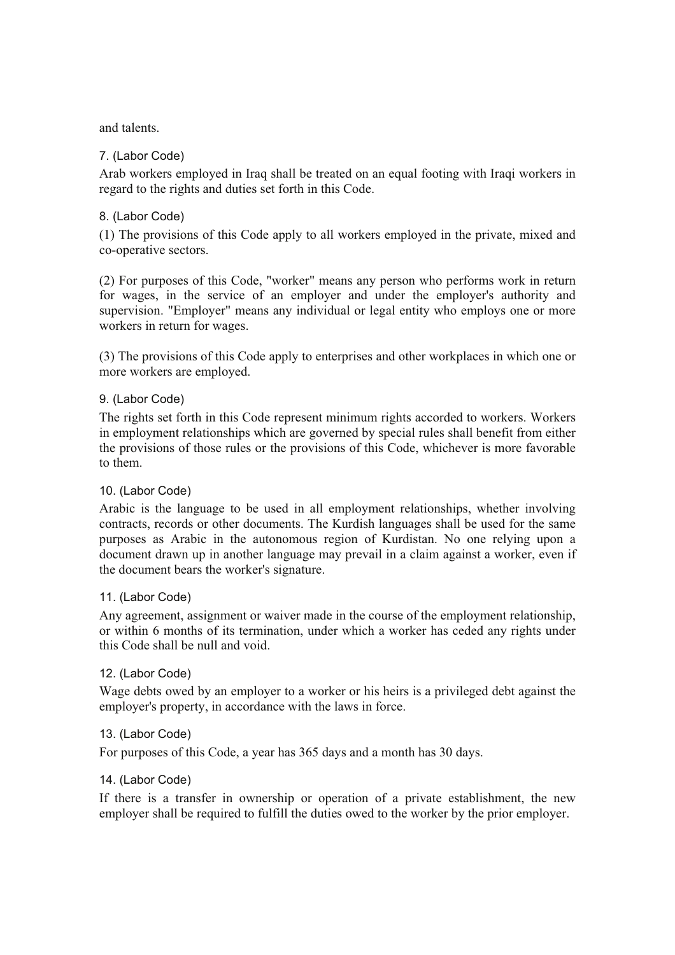and talents.

### 7. (Labor Code)

Arab workers employed in Iraq shall be treated on an equal footing with Iraqi workers in regard to the rights and duties set forth in this Code.

## 8. (Labor Code)

(1) The provisions of this Code apply to all workers employed in the private, mixed and co-operative sectors.

(2) For purposes of this Code, "worker" means any person who performs work in return for wages, in the service of an employer and under the employer's authority and supervision. "Employer" means any individual or legal entity who employs one or more workers in return for wages.

(3) The provisions of this Code apply to enterprises and other workplaces in which one or more workers are employed.

### 9. (Labor Code)

The rights set forth in this Code represent minimum rights accorded to workers. Workers in employment relationships which are governed by special rules shall benefit from either the provisions of those rules or the provisions of this Code, whichever is more favorable to them.

#### 10. (Labor Code)

Arabic is the language to be used in all employment relationships, whether involving contracts, records or other documents. The Kurdish languages shall be used for the same purposes as Arabic in the autonomous region of Kurdistan. No one relying upon a document drawn up in another language may prevail in a claim against a worker, even if the document bears the worker's signature.

#### 11. (Labor Code)

Any agreement, assignment or waiver made in the course of the employment relationship, or within 6 months of its termination, under which a worker has ceded any rights under this Code shall be null and void.

#### 12. (Labor Code)

Wage debts owed by an employer to a worker or his heirs is a privileged debt against the employer's property, in accordance with the laws in force.

# 13. (Labor Code)

For purposes of this Code, a year has 365 days and a month has 30 days.

#### 14. (Labor Code)

If there is a transfer in ownership or operation of a private establishment, the new employer shall be required to fulfill the duties owed to the worker by the prior employer.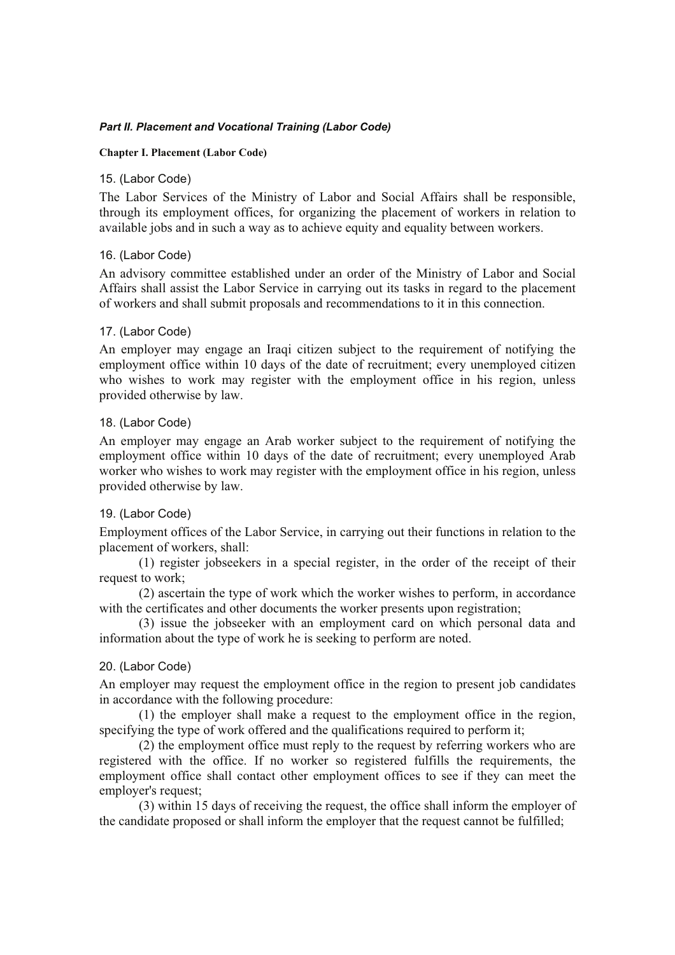#### *Part II. Placement and Vocational Training (Labor Code)*

#### **Chapter I. Placement (Labor Code)**

#### 15. (Labor Code)

The Labor Services of the Ministry of Labor and Social Affairs shall be responsible, through its employment offices, for organizing the placement of workers in relation to available jobs and in such a way as to achieve equity and equality between workers.

### 16. (Labor Code)

An advisory committee established under an order of the Ministry of Labor and Social Affairs shall assist the Labor Service in carrying out its tasks in regard to the placement of workers and shall submit proposals and recommendations to it in this connection.

### 17. (Labor Code)

An employer may engage an Iraqi citizen subject to the requirement of notifying the employment office within 10 days of the date of recruitment; every unemployed citizen who wishes to work may register with the employment office in his region, unless provided otherwise by law.

#### 18. (Labor Code)

An employer may engage an Arab worker subject to the requirement of notifying the employment office within 10 days of the date of recruitment; every unemployed Arab worker who wishes to work may register with the employment office in his region, unless provided otherwise by law.

#### 19. (Labor Code)

Employment offices of the Labor Service, in carrying out their functions in relation to the placement of workers, shall:

 (1) register jobseekers in a special register, in the order of the receipt of their request to work:

 (2) ascertain the type of work which the worker wishes to perform, in accordance with the certificates and other documents the worker presents upon registration;

 (3) issue the jobseeker with an employment card on which personal data and information about the type of work he is seeking to perform are noted.

#### 20. (Labor Code)

An employer may request the employment office in the region to present job candidates in accordance with the following procedure:

 (1) the employer shall make a request to the employment office in the region, specifying the type of work offered and the qualifications required to perform it;

 (2) the employment office must reply to the request by referring workers who are registered with the office. If no worker so registered fulfills the requirements, the employment office shall contact other employment offices to see if they can meet the employer's request;

 (3) within 15 days of receiving the request, the office shall inform the employer of the candidate proposed or shall inform the employer that the request cannot be fulfilled;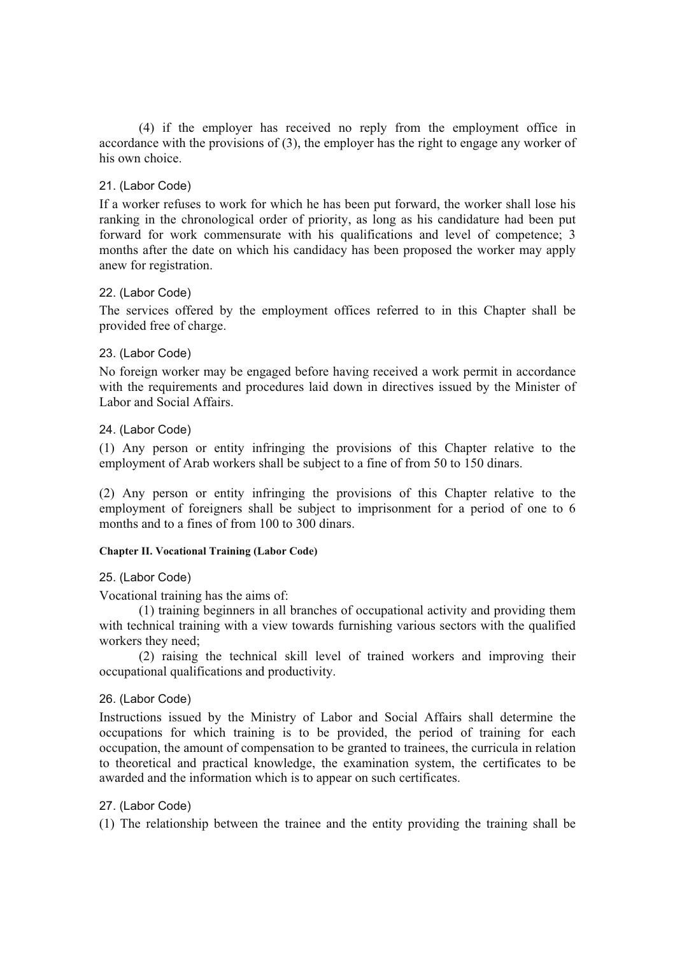(4) if the employer has received no reply from the employment office in accordance with the provisions of (3), the employer has the right to engage any worker of his own choice.

### 21. (Labor Code)

If a worker refuses to work for which he has been put forward, the worker shall lose his ranking in the chronological order of priority, as long as his candidature had been put forward for work commensurate with his qualifications and level of competence; 3 months after the date on which his candidacy has been proposed the worker may apply anew for registration.

### 22. (Labor Code)

The services offered by the employment offices referred to in this Chapter shall be provided free of charge.

### 23. (Labor Code)

No foreign worker may be engaged before having received a work permit in accordance with the requirements and procedures laid down in directives issued by the Minister of Labor and Social Affairs.

### 24. (Labor Code)

(1) Any person or entity infringing the provisions of this Chapter relative to the employment of Arab workers shall be subject to a fine of from 50 to 150 dinars.

(2) Any person or entity infringing the provisions of this Chapter relative to the employment of foreigners shall be subject to imprisonment for a period of one to 6 months and to a fines of from 100 to 300 dinars.

#### **Chapter II. Vocational Training (Labor Code)**

25. (Labor Code)

Vocational training has the aims of:

 (1) training beginners in all branches of occupational activity and providing them with technical training with a view towards furnishing various sectors with the qualified workers they need;

 (2) raising the technical skill level of trained workers and improving their occupational qualifications and productivity.

# 26. (Labor Code)

Instructions issued by the Ministry of Labor and Social Affairs shall determine the occupations for which training is to be provided, the period of training for each occupation, the amount of compensation to be granted to trainees, the curricula in relation to theoretical and practical knowledge, the examination system, the certificates to be awarded and the information which is to appear on such certificates.

#### 27. (Labor Code)

(1) The relationship between the trainee and the entity providing the training shall be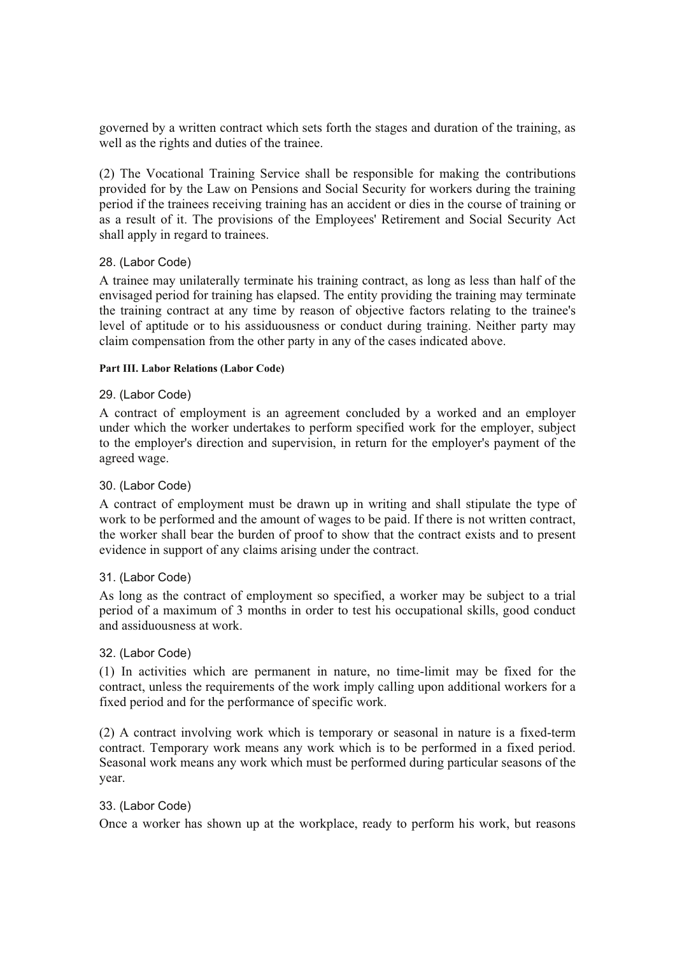governed by a written contract which sets forth the stages and duration of the training, as well as the rights and duties of the trainee.

(2) The Vocational Training Service shall be responsible for making the contributions provided for by the Law on Pensions and Social Security for workers during the training period if the trainees receiving training has an accident or dies in the course of training or as a result of it. The provisions of the Employees' Retirement and Social Security Act shall apply in regard to trainees.

### 28. (Labor Code)

A trainee may unilaterally terminate his training contract, as long as less than half of the envisaged period for training has elapsed. The entity providing the training may terminate the training contract at any time by reason of objective factors relating to the trainee's level of aptitude or to his assiduousness or conduct during training. Neither party may claim compensation from the other party in any of the cases indicated above.

#### **Part III. Labor Relations (Labor Code)**

### 29. (Labor Code)

A contract of employment is an agreement concluded by a worked and an employer under which the worker undertakes to perform specified work for the employer, subject to the employer's direction and supervision, in return for the employer's payment of the agreed wage.

# 30. (Labor Code)

A contract of employment must be drawn up in writing and shall stipulate the type of work to be performed and the amount of wages to be paid. If there is not written contract, the worker shall bear the burden of proof to show that the contract exists and to present evidence in support of any claims arising under the contract.

#### 31. (Labor Code)

As long as the contract of employment so specified, a worker may be subject to a trial period of a maximum of 3 months in order to test his occupational skills, good conduct and assiduousness at work.

#### 32. (Labor Code)

(1) In activities which are permanent in nature, no time-limit may be fixed for the contract, unless the requirements of the work imply calling upon additional workers for a fixed period and for the performance of specific work.

(2) A contract involving work which is temporary or seasonal in nature is a fixed-term contract. Temporary work means any work which is to be performed in a fixed period. Seasonal work means any work which must be performed during particular seasons of the year.

#### 33. (Labor Code)

Once a worker has shown up at the workplace, ready to perform his work, but reasons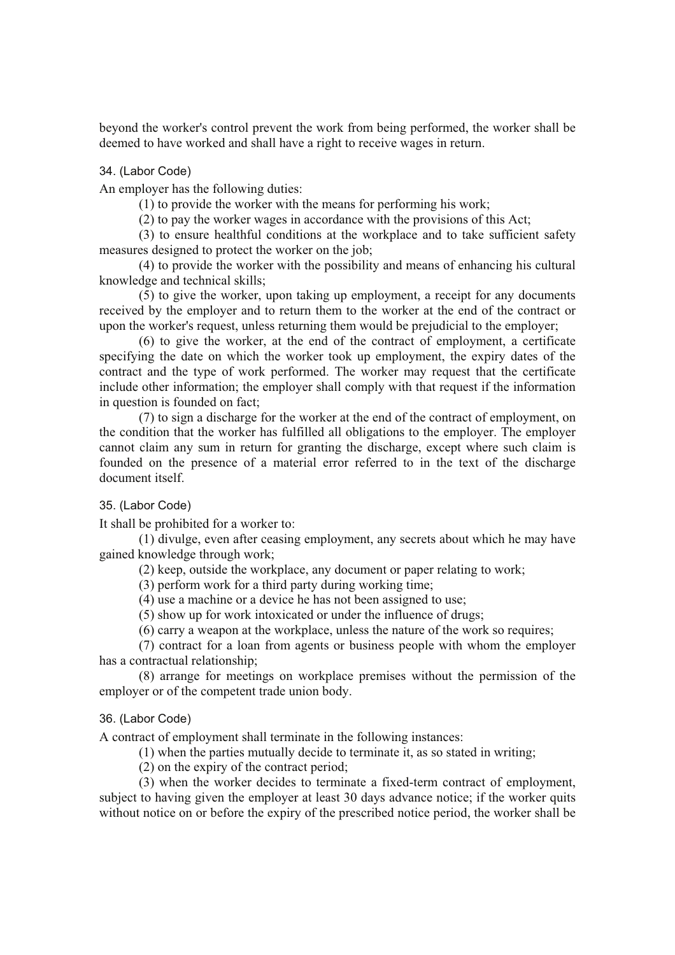beyond the worker's control prevent the work from being performed, the worker shall be deemed to have worked and shall have a right to receive wages in return.

34. (Labor Code)

An employer has the following duties:

(1) to provide the worker with the means for performing his work;

(2) to pay the worker wages in accordance with the provisions of this Act;

 (3) to ensure healthful conditions at the workplace and to take sufficient safety measures designed to protect the worker on the job;

 (4) to provide the worker with the possibility and means of enhancing his cultural knowledge and technical skills;

 (5) to give the worker, upon taking up employment, a receipt for any documents received by the employer and to return them to the worker at the end of the contract or upon the worker's request, unless returning them would be prejudicial to the employer;

 (6) to give the worker, at the end of the contract of employment, a certificate specifying the date on which the worker took up employment, the expiry dates of the contract and the type of work performed. The worker may request that the certificate include other information; the employer shall comply with that request if the information in question is founded on fact;

 (7) to sign a discharge for the worker at the end of the contract of employment, on the condition that the worker has fulfilled all obligations to the employer. The employer cannot claim any sum in return for granting the discharge, except where such claim is founded on the presence of a material error referred to in the text of the discharge document itself.

35. (Labor Code)

It shall be prohibited for a worker to:

 (1) divulge, even after ceasing employment, any secrets about which he may have gained knowledge through work;

(2) keep, outside the workplace, any document or paper relating to work;

(3) perform work for a third party during working time;

(4) use a machine or a device he has not been assigned to use;

(5) show up for work intoxicated or under the influence of drugs;

(6) carry a weapon at the workplace, unless the nature of the work so requires;

 (7) contract for a loan from agents or business people with whom the employer has a contractual relationship;

 (8) arrange for meetings on workplace premises without the permission of the employer or of the competent trade union body.

#### 36. (Labor Code)

A contract of employment shall terminate in the following instances:

(1) when the parties mutually decide to terminate it, as so stated in writing;

(2) on the expiry of the contract period;

 (3) when the worker decides to terminate a fixed-term contract of employment, subject to having given the employer at least 30 days advance notice; if the worker quits without notice on or before the expiry of the prescribed notice period, the worker shall be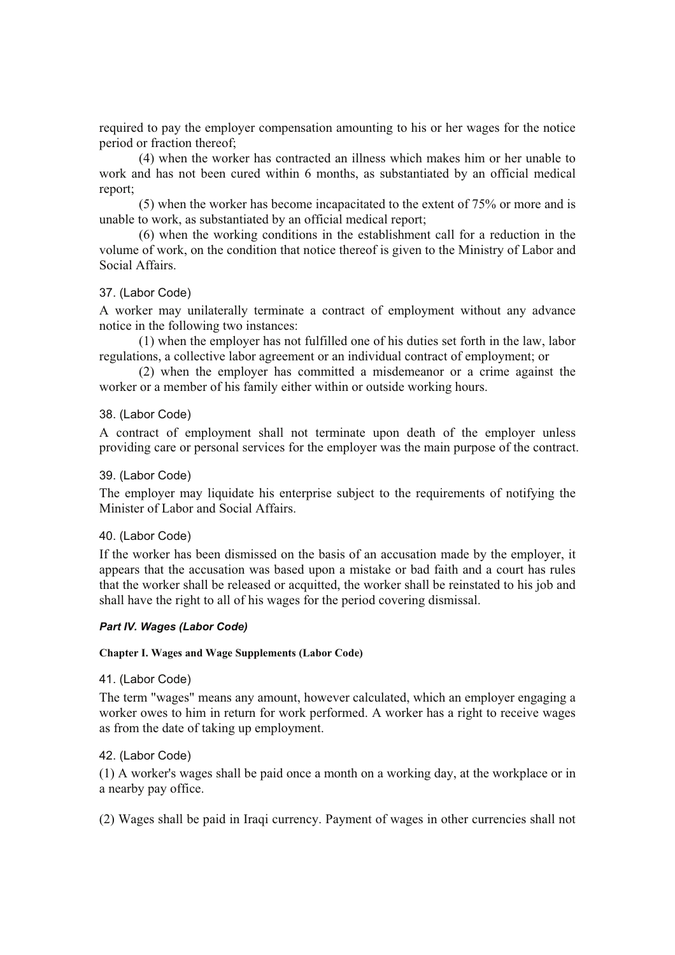required to pay the employer compensation amounting to his or her wages for the notice period or fraction thereof;

 (4) when the worker has contracted an illness which makes him or her unable to work and has not been cured within 6 months, as substantiated by an official medical report;

 (5) when the worker has become incapacitated to the extent of 75% or more and is unable to work, as substantiated by an official medical report;

 (6) when the working conditions in the establishment call for a reduction in the volume of work, on the condition that notice thereof is given to the Ministry of Labor and Social Affairs.

### 37. (Labor Code)

A worker may unilaterally terminate a contract of employment without any advance notice in the following two instances:

 (1) when the employer has not fulfilled one of his duties set forth in the law, labor regulations, a collective labor agreement or an individual contract of employment; or

 (2) when the employer has committed a misdemeanor or a crime against the worker or a member of his family either within or outside working hours.

38. (Labor Code)

A contract of employment shall not terminate upon death of the employer unless providing care or personal services for the employer was the main purpose of the contract.

39. (Labor Code)

The employer may liquidate his enterprise subject to the requirements of notifying the Minister of Labor and Social Affairs.

40. (Labor Code)

If the worker has been dismissed on the basis of an accusation made by the employer, it appears that the accusation was based upon a mistake or bad faith and a court has rules that the worker shall be released or acquitted, the worker shall be reinstated to his job and shall have the right to all of his wages for the period covering dismissal.

#### *Part IV. Wages (Labor Code)*

#### **Chapter I. Wages and Wage Supplements (Labor Code)**

41. (Labor Code)

The term "wages" means any amount, however calculated, which an employer engaging a worker owes to him in return for work performed. A worker has a right to receive wages as from the date of taking up employment.

# 42. (Labor Code)

(1) A worker's wages shall be paid once a month on a working day, at the workplace or in a nearby pay office.

(2) Wages shall be paid in Iraqi currency. Payment of wages in other currencies shall not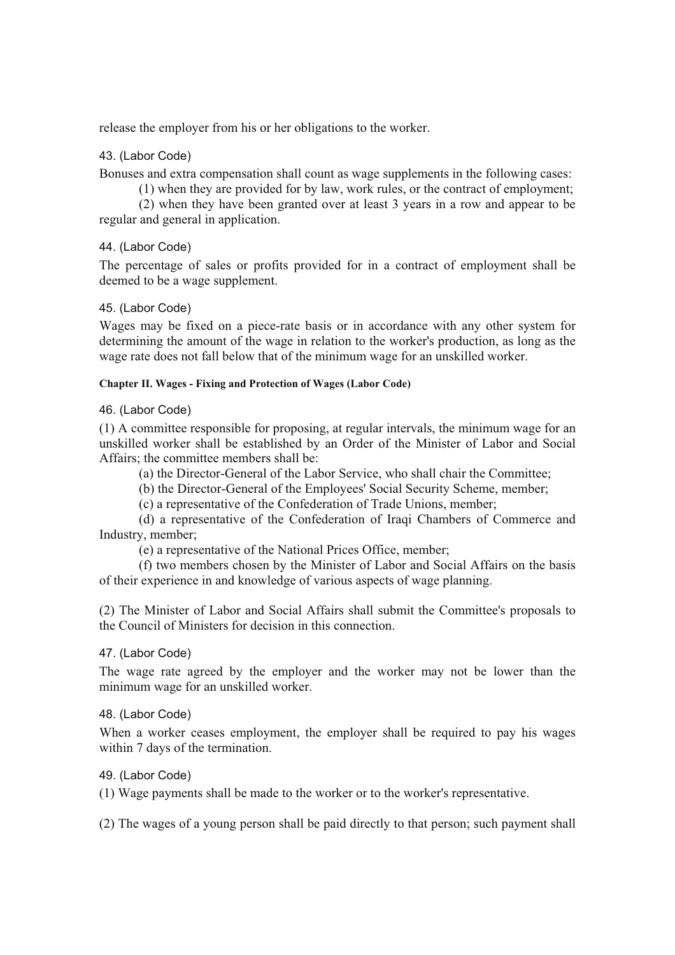release the employer from his or her obligations to the worker.

### 43. (Labor Code)

Bonuses and extra compensation shall count as wage supplements in the following cases:

(1) when they are provided for by law, work rules, or the contract of employment;

 (2) when they have been granted over at least 3 years in a row and appear to be regular and general in application.

44. (Labor Code)

The percentage of sales or profits provided for in a contract of employment shall be deemed to be a wage supplement.

45. (Labor Code)

Wages may be fixed on a piece-rate basis or in accordance with any other system for determining the amount of the wage in relation to the worker's production, as long as the wage rate does not fall below that of the minimum wage for an unskilled worker.

#### **Chapter II. Wages - Fixing and Protection of Wages (Labor Code)**

#### 46. (Labor Code)

(1) A committee responsible for proposing, at regular intervals, the minimum wage for an unskilled worker shall be established by an Order of the Minister of Labor and Social Affairs; the committee members shall be:

(a) the Director-General of the Labor Service, who shall chair the Committee;

(b) the Director-General of the Employees' Social Security Scheme, member;

(c) a representative of the Confederation of Trade Unions, member;

 (d) a representative of the Confederation of Iraqi Chambers of Commerce and Industry, member;

(e) a representative of the National Prices Office, member;

 (f) two members chosen by the Minister of Labor and Social Affairs on the basis of their experience in and knowledge of various aspects of wage planning.

(2) The Minister of Labor and Social Affairs shall submit the Committee's proposals to the Council of Ministers for decision in this connection.

47. (Labor Code)

The wage rate agreed by the employer and the worker may not be lower than the minimum wage for an unskilled worker.

#### 48. (Labor Code)

When a worker ceases employment, the employer shall be required to pay his wages within 7 days of the termination.

49. (Labor Code)

(1) Wage payments shall be made to the worker or to the worker's representative.

(2) The wages of a young person shall be paid directly to that person; such payment shall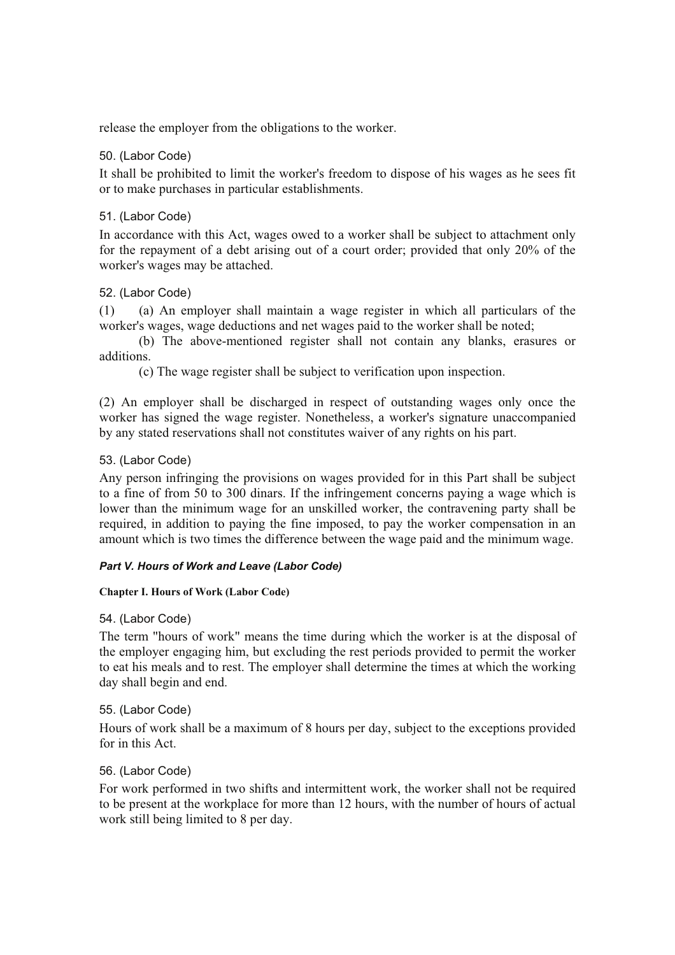release the employer from the obligations to the worker.

### 50. (Labor Code)

It shall be prohibited to limit the worker's freedom to dispose of his wages as he sees fit or to make purchases in particular establishments.

## 51. (Labor Code)

In accordance with this Act, wages owed to a worker shall be subject to attachment only for the repayment of a debt arising out of a court order; provided that only 20% of the worker's wages may be attached.

# 52. (Labor Code)

(1) (a) An employer shall maintain a wage register in which all particulars of the worker's wages, wage deductions and net wages paid to the worker shall be noted;

 (b) The above-mentioned register shall not contain any blanks, erasures or additions.

(c) The wage register shall be subject to verification upon inspection.

(2) An employer shall be discharged in respect of outstanding wages only once the worker has signed the wage register. Nonetheless, a worker's signature unaccompanied by any stated reservations shall not constitutes waiver of any rights on his part.

### 53. (Labor Code)

Any person infringing the provisions on wages provided for in this Part shall be subject to a fine of from 50 to 300 dinars. If the infringement concerns paying a wage which is lower than the minimum wage for an unskilled worker, the contravening party shall be required, in addition to paying the fine imposed, to pay the worker compensation in an amount which is two times the difference between the wage paid and the minimum wage.

#### *Part V. Hours of Work and Leave (Labor Code)*

#### **Chapter I. Hours of Work (Labor Code)**

54. (Labor Code)

The term "hours of work" means the time during which the worker is at the disposal of the employer engaging him, but excluding the rest periods provided to permit the worker to eat his meals and to rest. The employer shall determine the times at which the working day shall begin and end.

#### 55. (Labor Code)

Hours of work shall be a maximum of 8 hours per day, subject to the exceptions provided for in this Act.

#### 56. (Labor Code)

For work performed in two shifts and intermittent work, the worker shall not be required to be present at the workplace for more than 12 hours, with the number of hours of actual work still being limited to 8 per day.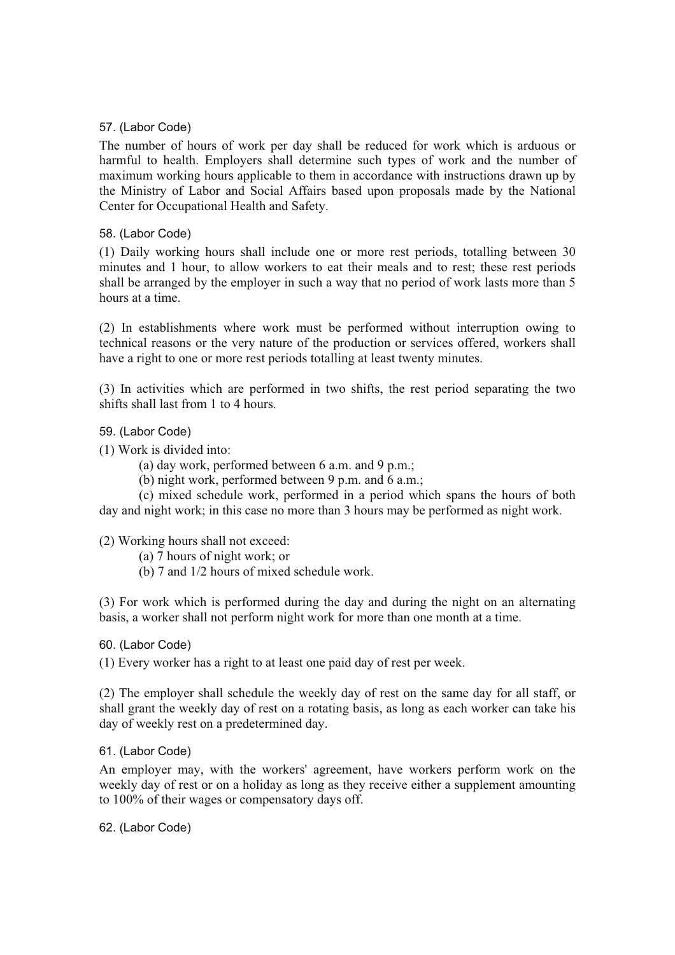### 57. (Labor Code)

The number of hours of work per day shall be reduced for work which is arduous or harmful to health. Employers shall determine such types of work and the number of maximum working hours applicable to them in accordance with instructions drawn up by the Ministry of Labor and Social Affairs based upon proposals made by the National Center for Occupational Health and Safety.

### 58. (Labor Code)

(1) Daily working hours shall include one or more rest periods, totalling between 30 minutes and 1 hour, to allow workers to eat their meals and to rest; these rest periods shall be arranged by the employer in such a way that no period of work lasts more than 5 hours at a time.

(2) In establishments where work must be performed without interruption owing to technical reasons or the very nature of the production or services offered, workers shall have a right to one or more rest periods totalling at least twenty minutes.

(3) In activities which are performed in two shifts, the rest period separating the two shifts shall last from 1 to 4 hours.

### 59. (Labor Code)

(1) Work is divided into:

- (a) day work, performed between 6 a.m. and 9 p.m.;
- (b) night work, performed between 9 p.m. and 6 a.m.;

 (c) mixed schedule work, performed in a period which spans the hours of both day and night work; in this case no more than 3 hours may be performed as night work.

# (2) Working hours shall not exceed:

(a) 7 hours of night work; or

(b) 7 and 1/2 hours of mixed schedule work.

(3) For work which is performed during the day and during the night on an alternating basis, a worker shall not perform night work for more than one month at a time.

#### 60. (Labor Code)

(1) Every worker has a right to at least one paid day of rest per week.

(2) The employer shall schedule the weekly day of rest on the same day for all staff, or shall grant the weekly day of rest on a rotating basis, as long as each worker can take his day of weekly rest on a predetermined day.

#### 61. (Labor Code)

An employer may, with the workers' agreement, have workers perform work on the weekly day of rest or on a holiday as long as they receive either a supplement amounting to 100% of their wages or compensatory days off.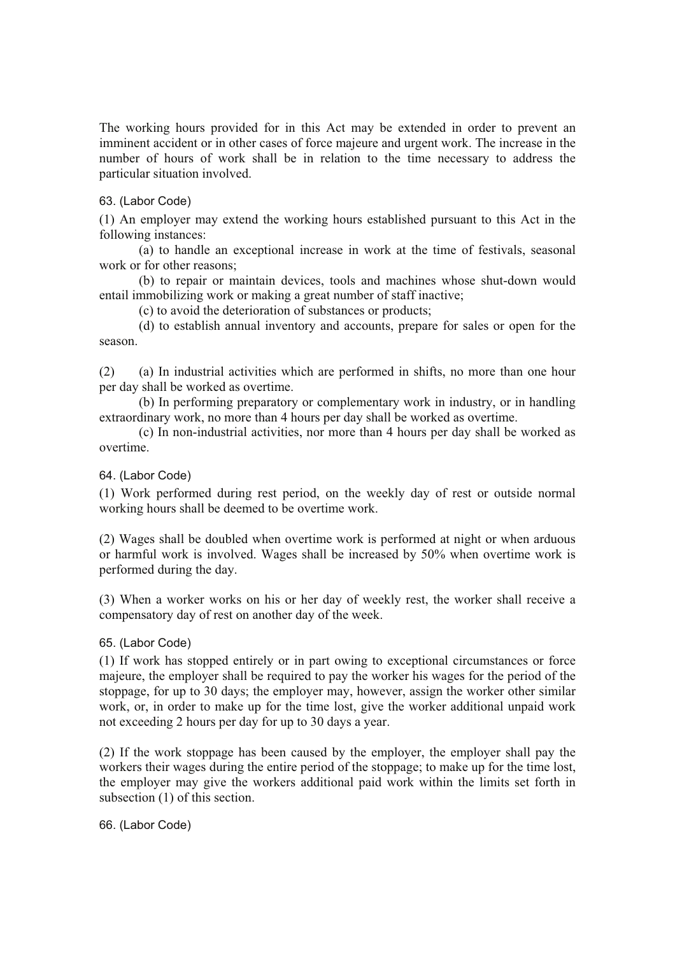The working hours provided for in this Act may be extended in order to prevent an imminent accident or in other cases of force majeure and urgent work. The increase in the number of hours of work shall be in relation to the time necessary to address the particular situation involved.

#### 63. (Labor Code)

(1) An employer may extend the working hours established pursuant to this Act in the following instances:

 (a) to handle an exceptional increase in work at the time of festivals, seasonal work or for other reasons;

 (b) to repair or maintain devices, tools and machines whose shut-down would entail immobilizing work or making a great number of staff inactive;

(c) to avoid the deterioration of substances or products;

 (d) to establish annual inventory and accounts, prepare for sales or open for the season.

(2) (a) In industrial activities which are performed in shifts, no more than one hour per day shall be worked as overtime.

 (b) In performing preparatory or complementary work in industry, or in handling extraordinary work, no more than 4 hours per day shall be worked as overtime.

 (c) In non-industrial activities, nor more than 4 hours per day shall be worked as overtime.

64. (Labor Code)

(1) Work performed during rest period, on the weekly day of rest or outside normal working hours shall be deemed to be overtime work.

(2) Wages shall be doubled when overtime work is performed at night or when arduous or harmful work is involved. Wages shall be increased by 50% when overtime work is performed during the day.

(3) When a worker works on his or her day of weekly rest, the worker shall receive a compensatory day of rest on another day of the week.

65. (Labor Code)

(1) If work has stopped entirely or in part owing to exceptional circumstances or force majeure, the employer shall be required to pay the worker his wages for the period of the stoppage, for up to 30 days; the employer may, however, assign the worker other similar work, or, in order to make up for the time lost, give the worker additional unpaid work not exceeding 2 hours per day for up to 30 days a year.

(2) If the work stoppage has been caused by the employer, the employer shall pay the workers their wages during the entire period of the stoppage; to make up for the time lost, the employer may give the workers additional paid work within the limits set forth in subsection (1) of this section.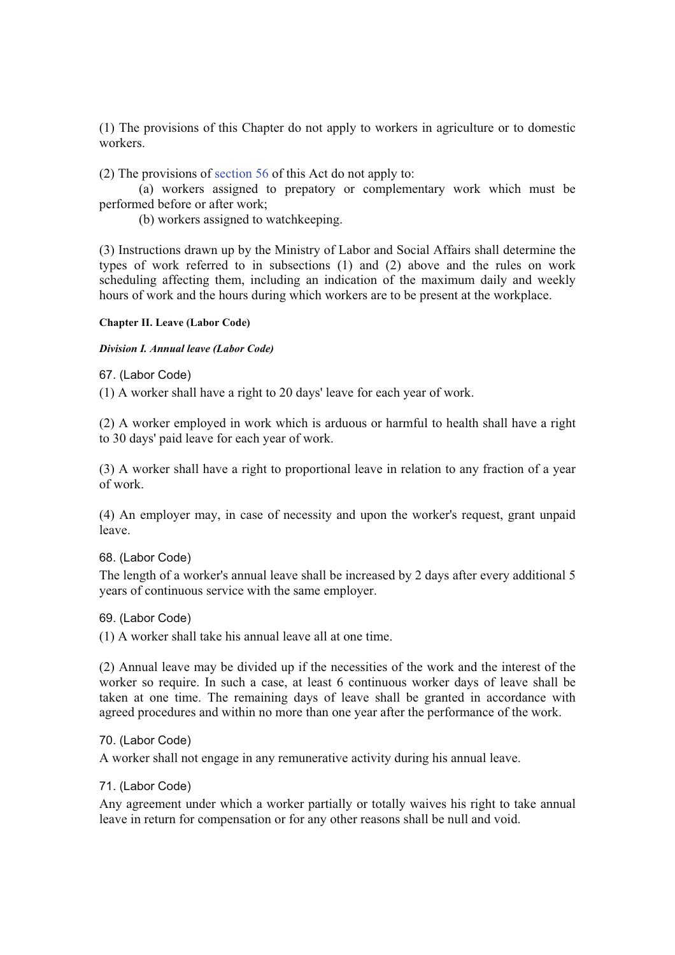(1) The provisions of this Chapter do not apply to workers in agriculture or to domestic workers.

(2) The provisions of section 56 of this Act do not apply to:

 (a) workers assigned to prepatory or complementary work which must be performed before or after work;

(b) workers assigned to watchkeeping.

(3) Instructions drawn up by the Ministry of Labor and Social Affairs shall determine the types of work referred to in subsections (1) and (2) above and the rules on work scheduling affecting them, including an indication of the maximum daily and weekly hours of work and the hours during which workers are to be present at the workplace.

#### **Chapter II. Leave (Labor Code)**

#### *Division I. Annual leave (Labor Code)*

67. (Labor Code)

(1) A worker shall have a right to 20 days' leave for each year of work.

(2) A worker employed in work which is arduous or harmful to health shall have a right to 30 days' paid leave for each year of work.

(3) A worker shall have a right to proportional leave in relation to any fraction of a year of work.

(4) An employer may, in case of necessity and upon the worker's request, grant unpaid leave.

68. (Labor Code)

The length of a worker's annual leave shall be increased by 2 days after every additional 5 years of continuous service with the same employer.

69. (Labor Code)

(1) A worker shall take his annual leave all at one time.

(2) Annual leave may be divided up if the necessities of the work and the interest of the worker so require. In such a case, at least 6 continuous worker days of leave shall be taken at one time. The remaining days of leave shall be granted in accordance with agreed procedures and within no more than one year after the performance of the work.

70. (Labor Code)

A worker shall not engage in any remunerative activity during his annual leave.

71. (Labor Code)

Any agreement under which a worker partially or totally waives his right to take annual leave in return for compensation or for any other reasons shall be null and void.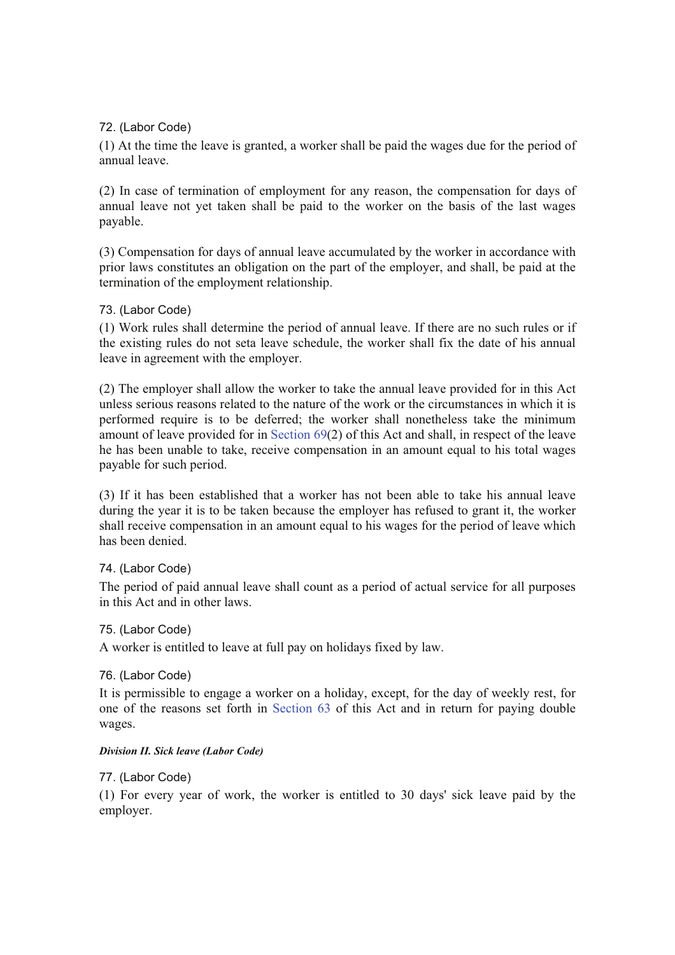## 72. (Labor Code)

(1) At the time the leave is granted, a worker shall be paid the wages due for the period of annual leave.

(2) In case of termination of employment for any reason, the compensation for days of annual leave not yet taken shall be paid to the worker on the basis of the last wages payable.

(3) Compensation for days of annual leave accumulated by the worker in accordance with prior laws constitutes an obligation on the part of the employer, and shall, be paid at the termination of the employment relationship.

#### 73. (Labor Code)

(1) Work rules shall determine the period of annual leave. If there are no such rules or if the existing rules do not seta leave schedule, the worker shall fix the date of his annual leave in agreement with the employer.

(2) The employer shall allow the worker to take the annual leave provided for in this Act unless serious reasons related to the nature of the work or the circumstances in which it is performed require is to be deferred; the worker shall nonetheless take the minimum amount of leave provided for in Section 69(2) of this Act and shall, in respect of the leave he has been unable to take, receive compensation in an amount equal to his total wages payable for such period.

(3) If it has been established that a worker has not been able to take his annual leave during the year it is to be taken because the employer has refused to grant it, the worker shall receive compensation in an amount equal to his wages for the period of leave which has been denied.

#### 74. (Labor Code)

The period of paid annual leave shall count as a period of actual service for all purposes in this Act and in other laws.

#### 75. (Labor Code)

A worker is entitled to leave at full pay on holidays fixed by law.

### 76. (Labor Code)

It is permissible to engage a worker on a holiday, except, for the day of weekly rest, for one of the reasons set forth in Section 63 of this Act and in return for paying double wages.

#### *Division II. Sick leave (Labor Code)*

#### 77. (Labor Code)

(1) For every year of work, the worker is entitled to 30 days' sick leave paid by the employer.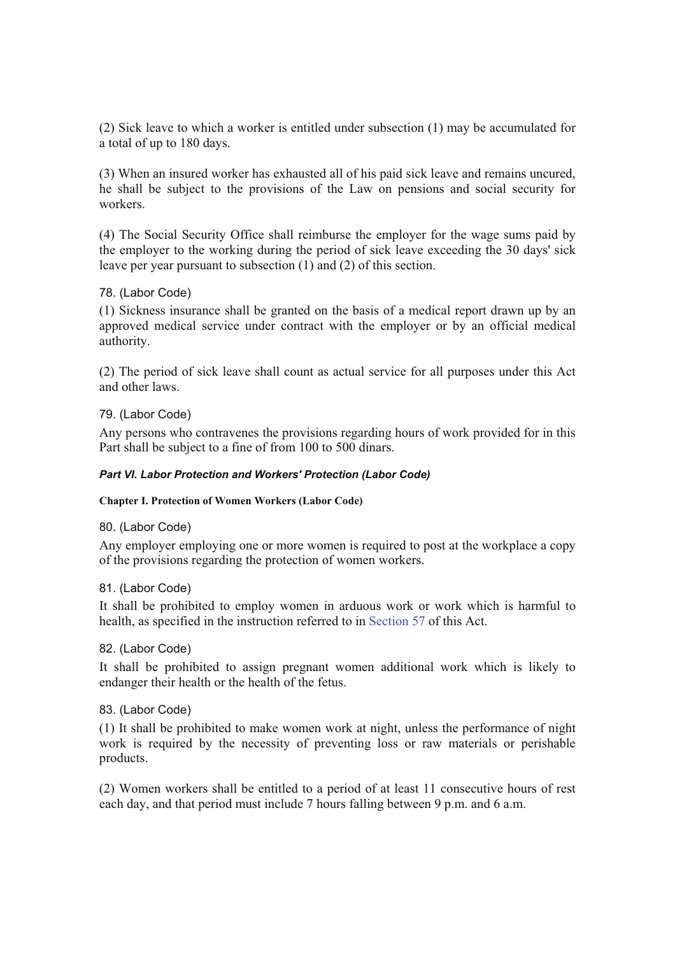(2) Sick leave to which a worker is entitled under subsection (1) may be accumulated for a total of up to 180 days.

(3) When an insured worker has exhausted all of his paid sick leave and remains uncured, he shall be subject to the provisions of the Law on pensions and social security for workers.

(4) The Social Security Office shall reimburse the employer for the wage sums paid by the employer to the working during the period of sick leave exceeding the 30 days' sick leave per year pursuant to subsection (1) and (2) of this section.

### 78. (Labor Code)

(1) Sickness insurance shall be granted on the basis of a medical report drawn up by an approved medical service under contract with the employer or by an official medical authority.

(2) The period of sick leave shall count as actual service for all purposes under this Act and other laws.

### 79. (Labor Code)

Any persons who contravenes the provisions regarding hours of work provided for in this Part shall be subject to a fine of from 100 to 500 dinars.

### *Part VI. Labor Protection and Workers' Protection (Labor Code)*

#### **Chapter I. Protection of Women Workers (Labor Code)**

#### 80. (Labor Code)

Any employer employing one or more women is required to post at the workplace a copy of the provisions regarding the protection of women workers.

#### 81. (Labor Code)

It shall be prohibited to employ women in arduous work or work which is harmful to health, as specified in the instruction referred to in Section 57 of this Act.

#### 82. (Labor Code)

It shall be prohibited to assign pregnant women additional work which is likely to endanger their health or the health of the fetus.

#### 83. (Labor Code)

(1) It shall be prohibited to make women work at night, unless the performance of night work is required by the necessity of preventing loss or raw materials or perishable products.

(2) Women workers shall be entitled to a period of at least 11 consecutive hours of rest each day, and that period must include 7 hours falling between 9 p.m. and 6 a.m.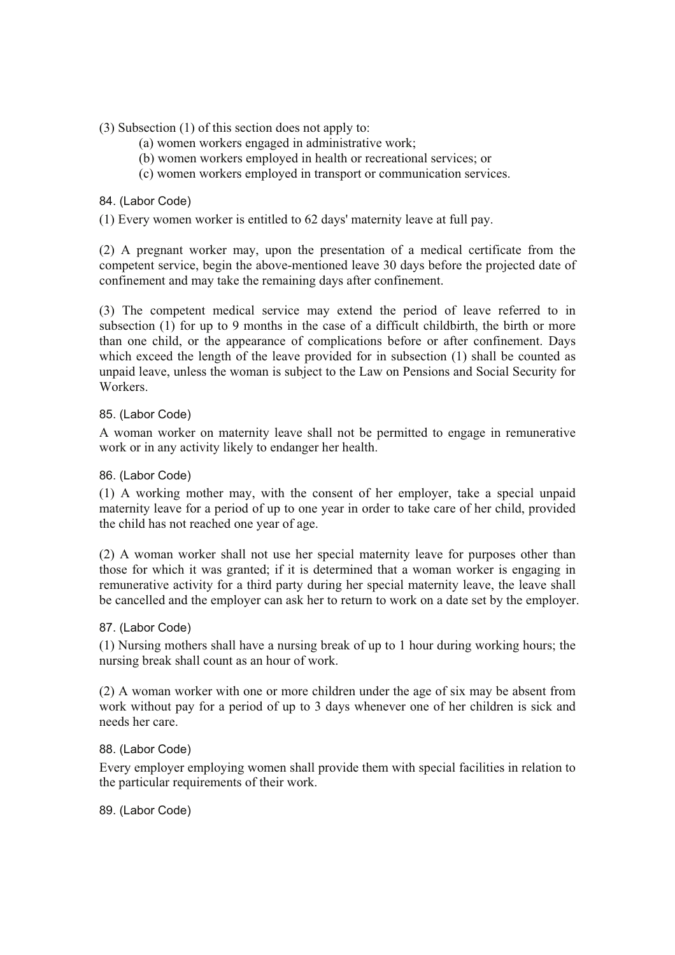(3) Subsection (1) of this section does not apply to:

- (a) women workers engaged in administrative work;
- (b) women workers employed in health or recreational services; or
- (c) women workers employed in transport or communication services.

84. (Labor Code)

(1) Every women worker is entitled to 62 days' maternity leave at full pay.

(2) A pregnant worker may, upon the presentation of a medical certificate from the competent service, begin the above-mentioned leave 30 days before the projected date of confinement and may take the remaining days after confinement.

(3) The competent medical service may extend the period of leave referred to in subsection (1) for up to 9 months in the case of a difficult childbirth, the birth or more than one child, or the appearance of complications before or after confinement. Days which exceed the length of the leave provided for in subsection (1) shall be counted as unpaid leave, unless the woman is subject to the Law on Pensions and Social Security for Workers.

### 85. (Labor Code)

A woman worker on maternity leave shall not be permitted to engage in remunerative work or in any activity likely to endanger her health.

### 86. (Labor Code)

(1) A working mother may, with the consent of her employer, take a special unpaid maternity leave for a period of up to one year in order to take care of her child, provided the child has not reached one year of age.

(2) A woman worker shall not use her special maternity leave for purposes other than those for which it was granted; if it is determined that a woman worker is engaging in remunerative activity for a third party during her special maternity leave, the leave shall be cancelled and the employer can ask her to return to work on a date set by the employer.

#### 87. (Labor Code)

(1) Nursing mothers shall have a nursing break of up to 1 hour during working hours; the nursing break shall count as an hour of work.

(2) A woman worker with one or more children under the age of six may be absent from work without pay for a period of up to 3 days whenever one of her children is sick and needs her care.

#### 88. (Labor Code)

Every employer employing women shall provide them with special facilities in relation to the particular requirements of their work.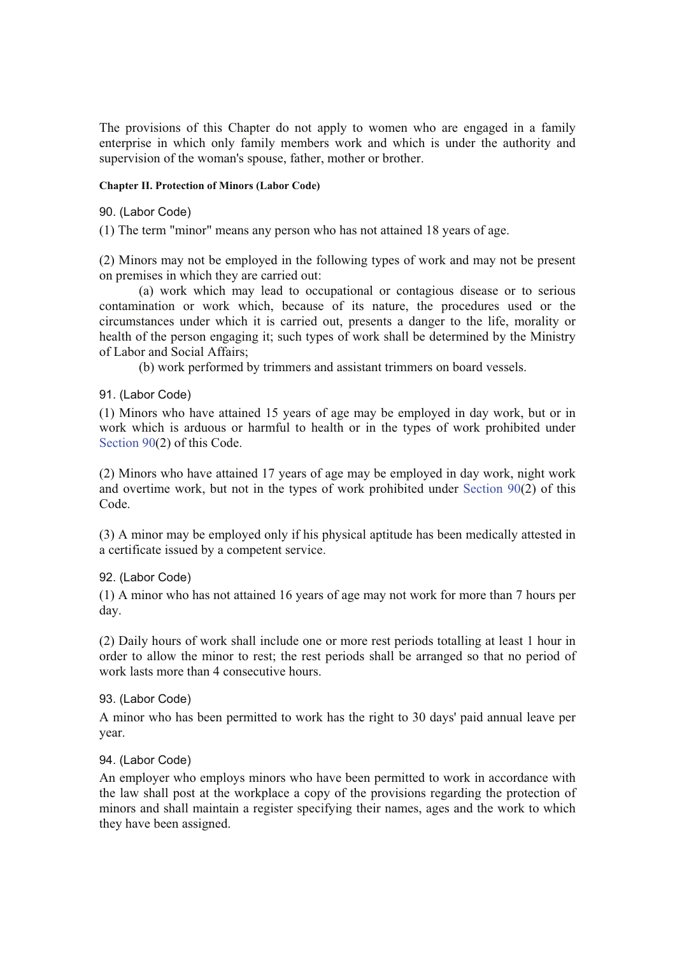The provisions of this Chapter do not apply to women who are engaged in a family enterprise in which only family members work and which is under the authority and supervision of the woman's spouse, father, mother or brother.

#### **Chapter II. Protection of Minors (Labor Code)**

90. (Labor Code)

(1) The term "minor" means any person who has not attained 18 years of age.

(2) Minors may not be employed in the following types of work and may not be present on premises in which they are carried out:

 (a) work which may lead to occupational or contagious disease or to serious contamination or work which, because of its nature, the procedures used or the circumstances under which it is carried out, presents a danger to the life, morality or health of the person engaging it; such types of work shall be determined by the Ministry of Labor and Social Affairs;

(b) work performed by trimmers and assistant trimmers on board vessels.

91. (Labor Code)

(1) Minors who have attained 15 years of age may be employed in day work, but or in work which is arduous or harmful to health or in the types of work prohibited under Section 90(2) of this Code.

(2) Minors who have attained 17 years of age may be employed in day work, night work and overtime work, but not in the types of work prohibited under Section 90(2) of this Code.

(3) A minor may be employed only if his physical aptitude has been medically attested in a certificate issued by a competent service.

92. (Labor Code)

(1) A minor who has not attained 16 years of age may not work for more than 7 hours per day.

(2) Daily hours of work shall include one or more rest periods totalling at least 1 hour in order to allow the minor to rest; the rest periods shall be arranged so that no period of work lasts more than 4 consecutive hours.

93. (Labor Code)

A minor who has been permitted to work has the right to 30 days' paid annual leave per year.

94. (Labor Code)

An employer who employs minors who have been permitted to work in accordance with the law shall post at the workplace a copy of the provisions regarding the protection of minors and shall maintain a register specifying their names, ages and the work to which they have been assigned.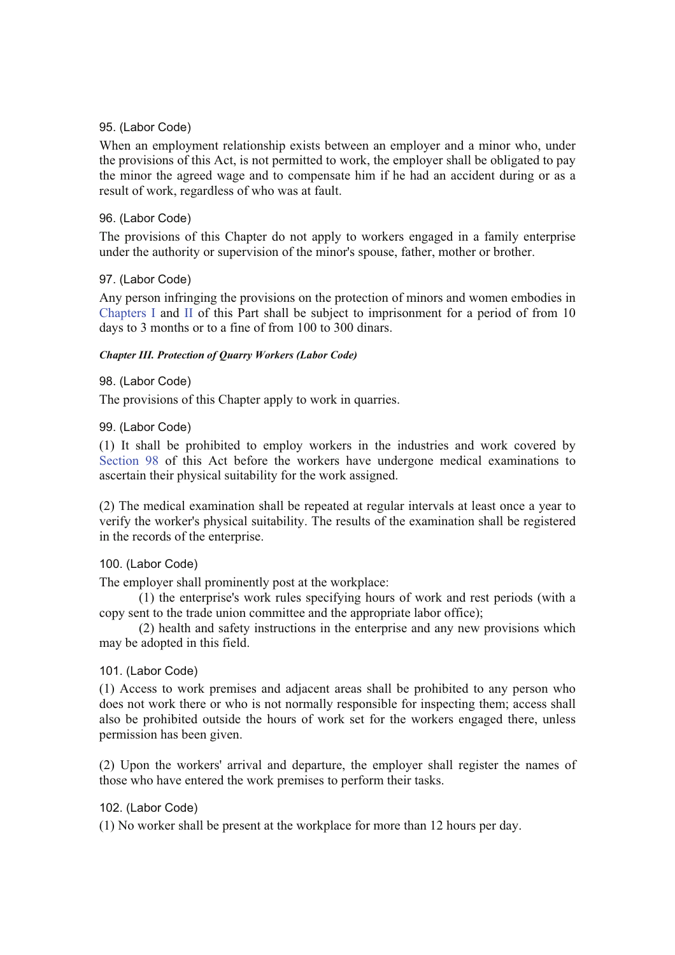### 95. (Labor Code)

When an employment relationship exists between an employer and a minor who, under the provisions of this Act, is not permitted to work, the employer shall be obligated to pay the minor the agreed wage and to compensate him if he had an accident during or as a result of work, regardless of who was at fault.

### 96. (Labor Code)

The provisions of this Chapter do not apply to workers engaged in a family enterprise under the authority or supervision of the minor's spouse, father, mother or brother.

### 97. (Labor Code)

Any person infringing the provisions on the protection of minors and women embodies in Chapters I and II of this Part shall be subject to imprisonment for a period of from 10 days to 3 months or to a fine of from 100 to 300 dinars.

### *Chapter III. Protection of Quarry Workers (Labor Code)*

98. (Labor Code)

The provisions of this Chapter apply to work in quarries.

### 99. (Labor Code)

(1) It shall be prohibited to employ workers in the industries and work covered by Section 98 of this Act before the workers have undergone medical examinations to ascertain their physical suitability for the work assigned.

(2) The medical examination shall be repeated at regular intervals at least once a year to verify the worker's physical suitability. The results of the examination shall be registered in the records of the enterprise.

# 100. (Labor Code)

The employer shall prominently post at the workplace:

 (1) the enterprise's work rules specifying hours of work and rest periods (with a copy sent to the trade union committee and the appropriate labor office);

 (2) health and safety instructions in the enterprise and any new provisions which may be adopted in this field.

#### 101. (Labor Code)

(1) Access to work premises and adjacent areas shall be prohibited to any person who does not work there or who is not normally responsible for inspecting them; access shall also be prohibited outside the hours of work set for the workers engaged there, unless permission has been given.

(2) Upon the workers' arrival and departure, the employer shall register the names of those who have entered the work premises to perform their tasks.

#### 102. (Labor Code)

(1) No worker shall be present at the workplace for more than 12 hours per day.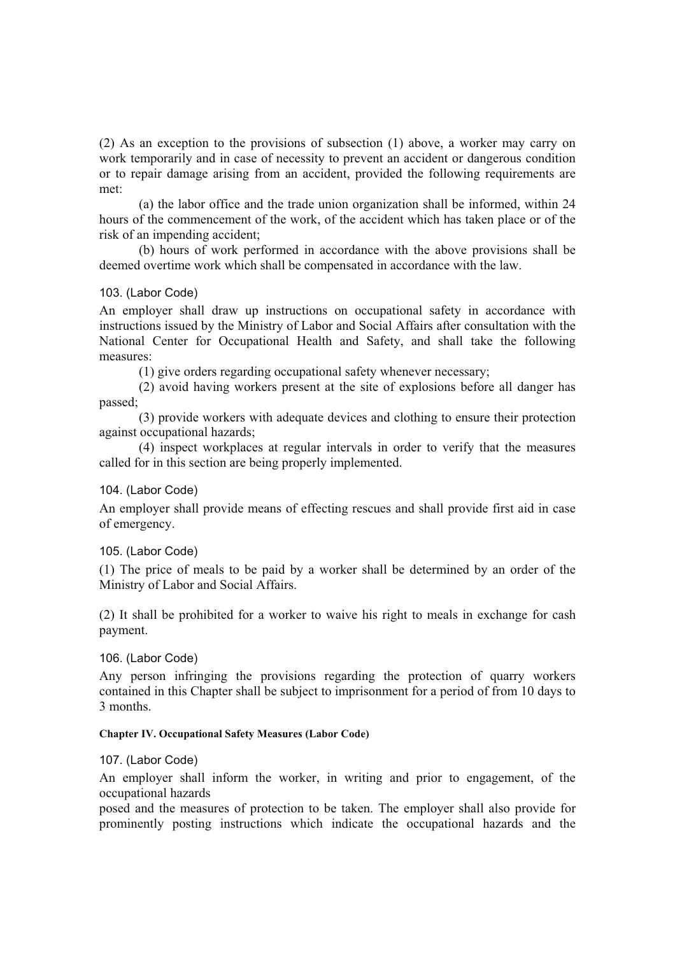(2) As an exception to the provisions of subsection (1) above, a worker may carry on work temporarily and in case of necessity to prevent an accident or dangerous condition or to repair damage arising from an accident, provided the following requirements are met:

 (a) the labor office and the trade union organization shall be informed, within 24 hours of the commencement of the work, of the accident which has taken place or of the risk of an impending accident;

 (b) hours of work performed in accordance with the above provisions shall be deemed overtime work which shall be compensated in accordance with the law.

### 103. (Labor Code)

An employer shall draw up instructions on occupational safety in accordance with instructions issued by the Ministry of Labor and Social Affairs after consultation with the National Center for Occupational Health and Safety, and shall take the following measures:

(1) give orders regarding occupational safety whenever necessary;

 (2) avoid having workers present at the site of explosions before all danger has passed;

 (3) provide workers with adequate devices and clothing to ensure their protection against occupational hazards;

 (4) inspect workplaces at regular intervals in order to verify that the measures called for in this section are being properly implemented.

# 104. (Labor Code)

An employer shall provide means of effecting rescues and shall provide first aid in case of emergency.

#### 105. (Labor Code)

(1) The price of meals to be paid by a worker shall be determined by an order of the Ministry of Labor and Social Affairs.

(2) It shall be prohibited for a worker to waive his right to meals in exchange for cash payment.

106. (Labor Code)

Any person infringing the provisions regarding the protection of quarry workers contained in this Chapter shall be subject to imprisonment for a period of from 10 days to 3 months.

#### **Chapter IV. Occupational Safety Measures (Labor Code)**

# 107. (Labor Code)

An employer shall inform the worker, in writing and prior to engagement, of the occupational hazards

posed and the measures of protection to be taken. The employer shall also provide for prominently posting instructions which indicate the occupational hazards and the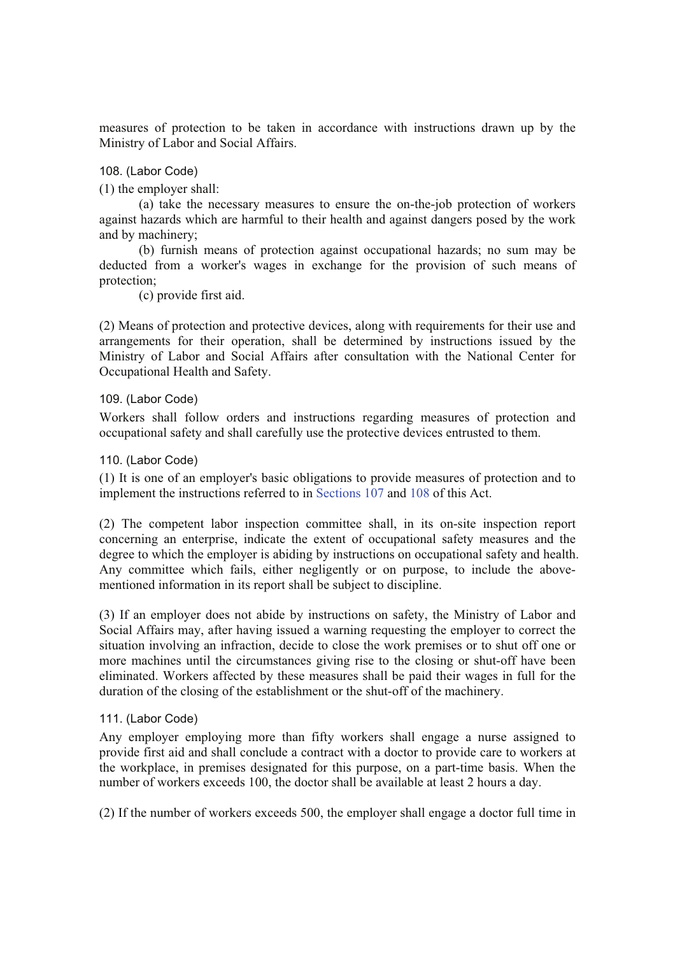measures of protection to be taken in accordance with instructions drawn up by the Ministry of Labor and Social Affairs.

108. (Labor Code)

(1) the employer shall:

 (a) take the necessary measures to ensure the on-the-job protection of workers against hazards which are harmful to their health and against dangers posed by the work and by machinery;

 (b) furnish means of protection against occupational hazards; no sum may be deducted from a worker's wages in exchange for the provision of such means of protection;

(c) provide first aid.

(2) Means of protection and protective devices, along with requirements for their use and arrangements for their operation, shall be determined by instructions issued by the Ministry of Labor and Social Affairs after consultation with the National Center for Occupational Health and Safety.

### 109. (Labor Code)

Workers shall follow orders and instructions regarding measures of protection and occupational safety and shall carefully use the protective devices entrusted to them.

110. (Labor Code)

(1) It is one of an employer's basic obligations to provide measures of protection and to implement the instructions referred to in Sections 107 and 108 of this Act.

(2) The competent labor inspection committee shall, in its on-site inspection report concerning an enterprise, indicate the extent of occupational safety measures and the degree to which the employer is abiding by instructions on occupational safety and health. Any committee which fails, either negligently or on purpose, to include the abovementioned information in its report shall be subject to discipline.

(3) If an employer does not abide by instructions on safety, the Ministry of Labor and Social Affairs may, after having issued a warning requesting the employer to correct the situation involving an infraction, decide to close the work premises or to shut off one or more machines until the circumstances giving rise to the closing or shut-off have been eliminated. Workers affected by these measures shall be paid their wages in full for the duration of the closing of the establishment or the shut-off of the machinery.

# 111. (Labor Code)

Any employer employing more than fifty workers shall engage a nurse assigned to provide first aid and shall conclude a contract with a doctor to provide care to workers at the workplace, in premises designated for this purpose, on a part-time basis. When the number of workers exceeds 100, the doctor shall be available at least 2 hours a day.

(2) If the number of workers exceeds 500, the employer shall engage a doctor full time in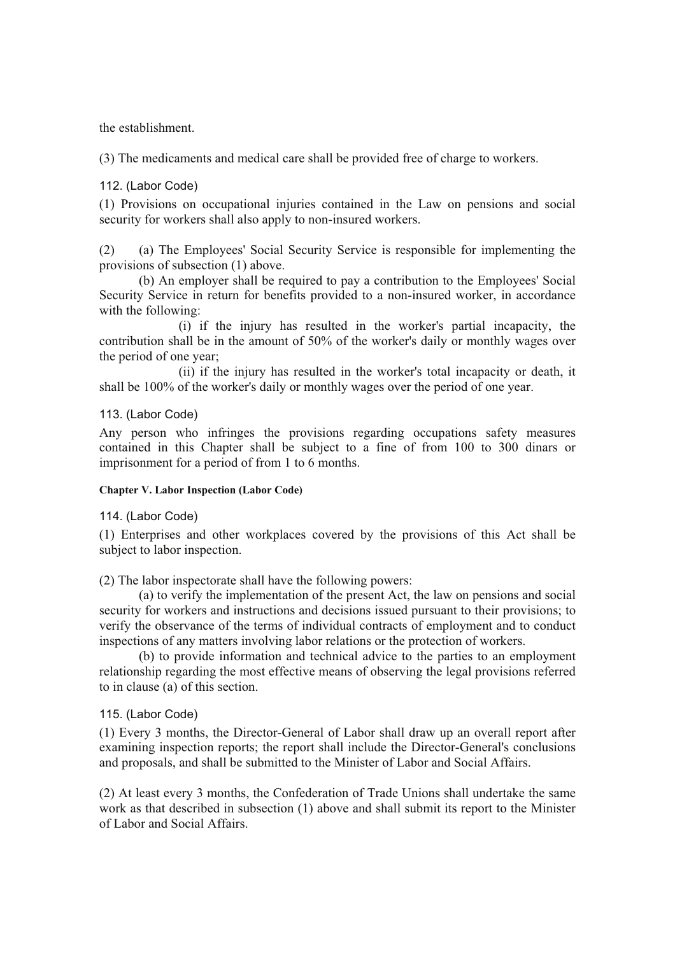the establishment.

(3) The medicaments and medical care shall be provided free of charge to workers.

112. (Labor Code)

(1) Provisions on occupational injuries contained in the Law on pensions and social security for workers shall also apply to non-insured workers.

(2) (a) The Employees' Social Security Service is responsible for implementing the provisions of subsection (1) above.

 (b) An employer shall be required to pay a contribution to the Employees' Social Security Service in return for benefits provided to a non-insured worker, in accordance with the following:

 (i) if the injury has resulted in the worker's partial incapacity, the contribution shall be in the amount of 50% of the worker's daily or monthly wages over the period of one year;

 (ii) if the injury has resulted in the worker's total incapacity or death, it shall be 100% of the worker's daily or monthly wages over the period of one year.

113. (Labor Code)

Any person who infringes the provisions regarding occupations safety measures contained in this Chapter shall be subject to a fine of from 100 to 300 dinars or imprisonment for a period of from 1 to 6 months.

#### **Chapter V. Labor Inspection (Labor Code)**

114. (Labor Code)

(1) Enterprises and other workplaces covered by the provisions of this Act shall be subject to labor inspection.

(2) The labor inspectorate shall have the following powers:

 (a) to verify the implementation of the present Act, the law on pensions and social security for workers and instructions and decisions issued pursuant to their provisions; to verify the observance of the terms of individual contracts of employment and to conduct inspections of any matters involving labor relations or the protection of workers.

 (b) to provide information and technical advice to the parties to an employment relationship regarding the most effective means of observing the legal provisions referred to in clause (a) of this section.

#### 115. (Labor Code)

(1) Every 3 months, the Director-General of Labor shall draw up an overall report after examining inspection reports; the report shall include the Director-General's conclusions and proposals, and shall be submitted to the Minister of Labor and Social Affairs.

(2) At least every 3 months, the Confederation of Trade Unions shall undertake the same work as that described in subsection (1) above and shall submit its report to the Minister of Labor and Social Affairs.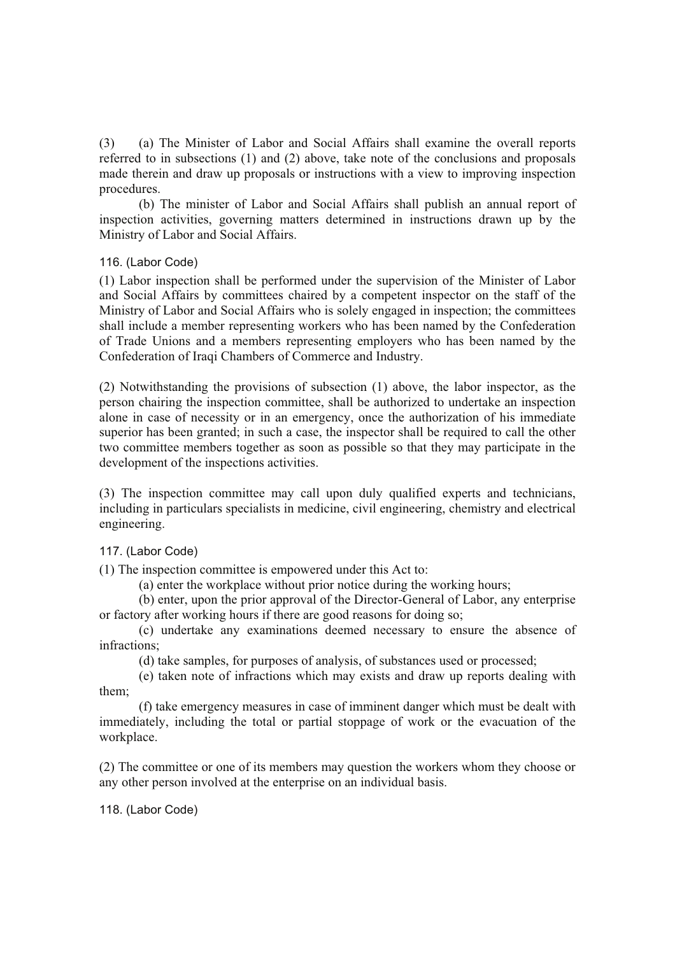(3) (a) The Minister of Labor and Social Affairs shall examine the overall reports referred to in subsections (1) and (2) above, take note of the conclusions and proposals made therein and draw up proposals or instructions with a view to improving inspection procedures.

 (b) The minister of Labor and Social Affairs shall publish an annual report of inspection activities, governing matters determined in instructions drawn up by the Ministry of Labor and Social Affairs.

### 116. (Labor Code)

(1) Labor inspection shall be performed under the supervision of the Minister of Labor and Social Affairs by committees chaired by a competent inspector on the staff of the Ministry of Labor and Social Affairs who is solely engaged in inspection; the committees shall include a member representing workers who has been named by the Confederation of Trade Unions and a members representing employers who has been named by the Confederation of Iraqi Chambers of Commerce and Industry.

(2) Notwithstanding the provisions of subsection (1) above, the labor inspector, as the person chairing the inspection committee, shall be authorized to undertake an inspection alone in case of necessity or in an emergency, once the authorization of his immediate superior has been granted; in such a case, the inspector shall be required to call the other two committee members together as soon as possible so that they may participate in the development of the inspections activities.

(3) The inspection committee may call upon duly qualified experts and technicians, including in particulars specialists in medicine, civil engineering, chemistry and electrical engineering.

117. (Labor Code)

(1) The inspection committee is empowered under this Act to:

(a) enter the workplace without prior notice during the working hours;

 (b) enter, upon the prior approval of the Director-General of Labor, any enterprise or factory after working hours if there are good reasons for doing so;

 (c) undertake any examinations deemed necessary to ensure the absence of infractions;

(d) take samples, for purposes of analysis, of substances used or processed;

 (e) taken note of infractions which may exists and draw up reports dealing with them;

 (f) take emergency measures in case of imminent danger which must be dealt with immediately, including the total or partial stoppage of work or the evacuation of the workplace.

(2) The committee or one of its members may question the workers whom they choose or any other person involved at the enterprise on an individual basis.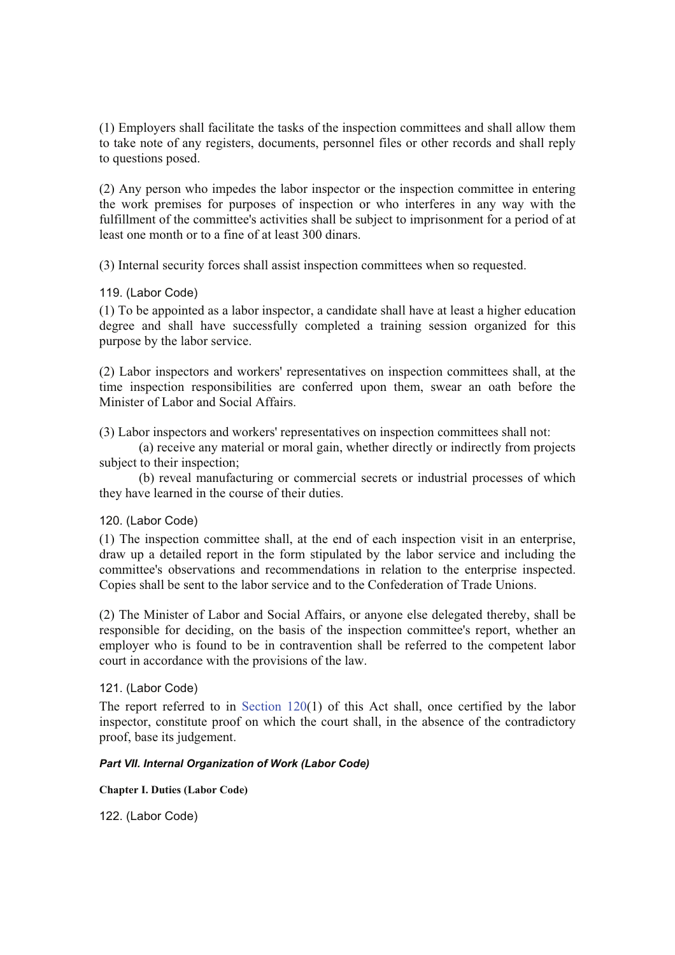(1) Employers shall facilitate the tasks of the inspection committees and shall allow them to take note of any registers, documents, personnel files or other records and shall reply to questions posed.

(2) Any person who impedes the labor inspector or the inspection committee in entering the work premises for purposes of inspection or who interferes in any way with the fulfillment of the committee's activities shall be subject to imprisonment for a period of at least one month or to a fine of at least 300 dinars.

(3) Internal security forces shall assist inspection committees when so requested.

#### 119. (Labor Code)

(1) To be appointed as a labor inspector, a candidate shall have at least a higher education degree and shall have successfully completed a training session organized for this purpose by the labor service.

(2) Labor inspectors and workers' representatives on inspection committees shall, at the time inspection responsibilities are conferred upon them, swear an oath before the Minister of Labor and Social Affairs.

(3) Labor inspectors and workers' representatives on inspection committees shall not:

 (a) receive any material or moral gain, whether directly or indirectly from projects subject to their inspection;

 (b) reveal manufacturing or commercial secrets or industrial processes of which they have learned in the course of their duties.

#### 120. (Labor Code)

(1) The inspection committee shall, at the end of each inspection visit in an enterprise, draw up a detailed report in the form stipulated by the labor service and including the committee's observations and recommendations in relation to the enterprise inspected. Copies shall be sent to the labor service and to the Confederation of Trade Unions.

(2) The Minister of Labor and Social Affairs, or anyone else delegated thereby, shall be responsible for deciding, on the basis of the inspection committee's report, whether an employer who is found to be in contravention shall be referred to the competent labor court in accordance with the provisions of the law.

### 121. (Labor Code)

The report referred to in Section 120(1) of this Act shall, once certified by the labor inspector, constitute proof on which the court shall, in the absence of the contradictory proof, base its judgement.

#### *Part VII. Internal Organization of Work (Labor Code)*

**Chapter I. Duties (Labor Code)**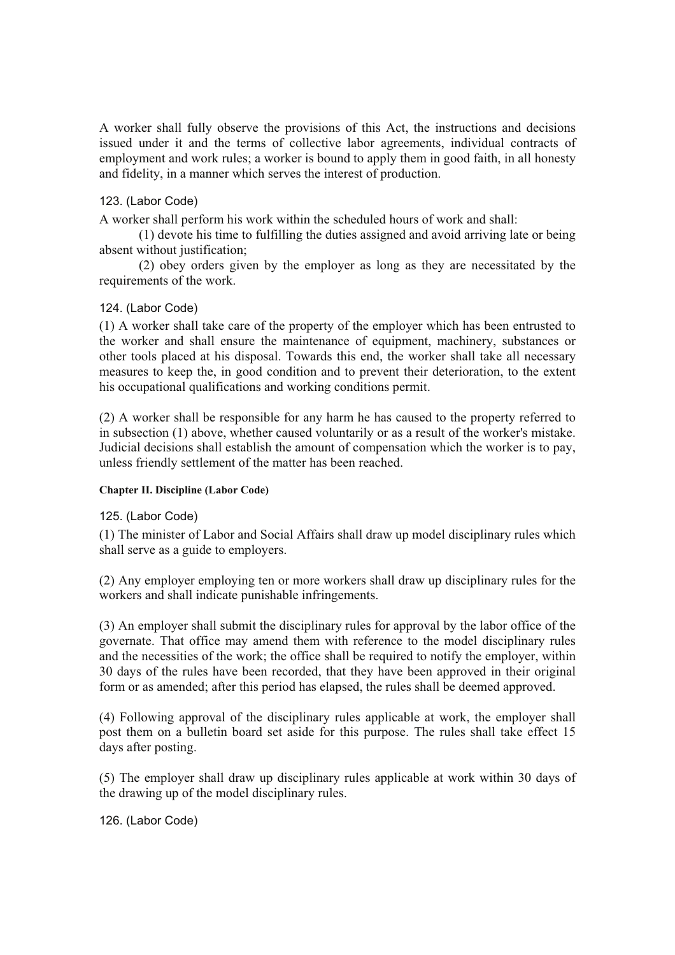A worker shall fully observe the provisions of this Act, the instructions and decisions issued under it and the terms of collective labor agreements, individual contracts of employment and work rules; a worker is bound to apply them in good faith, in all honesty and fidelity, in a manner which serves the interest of production.

## 123. (Labor Code)

A worker shall perform his work within the scheduled hours of work and shall:

 (1) devote his time to fulfilling the duties assigned and avoid arriving late or being absent without justification;

 (2) obey orders given by the employer as long as they are necessitated by the requirements of the work.

#### 124. (Labor Code)

(1) A worker shall take care of the property of the employer which has been entrusted to the worker and shall ensure the maintenance of equipment, machinery, substances or other tools placed at his disposal. Towards this end, the worker shall take all necessary measures to keep the, in good condition and to prevent their deterioration, to the extent his occupational qualifications and working conditions permit.

(2) A worker shall be responsible for any harm he has caused to the property referred to in subsection (1) above, whether caused voluntarily or as a result of the worker's mistake. Judicial decisions shall establish the amount of compensation which the worker is to pay, unless friendly settlement of the matter has been reached.

#### **Chapter II. Discipline (Labor Code)**

125. (Labor Code)

(1) The minister of Labor and Social Affairs shall draw up model disciplinary rules which shall serve as a guide to employers.

(2) Any employer employing ten or more workers shall draw up disciplinary rules for the workers and shall indicate punishable infringements.

(3) An employer shall submit the disciplinary rules for approval by the labor office of the governate. That office may amend them with reference to the model disciplinary rules and the necessities of the work; the office shall be required to notify the employer, within 30 days of the rules have been recorded, that they have been approved in their original form or as amended; after this period has elapsed, the rules shall be deemed approved.

(4) Following approval of the disciplinary rules applicable at work, the employer shall post them on a bulletin board set aside for this purpose. The rules shall take effect 15 days after posting.

(5) The employer shall draw up disciplinary rules applicable at work within 30 days of the drawing up of the model disciplinary rules.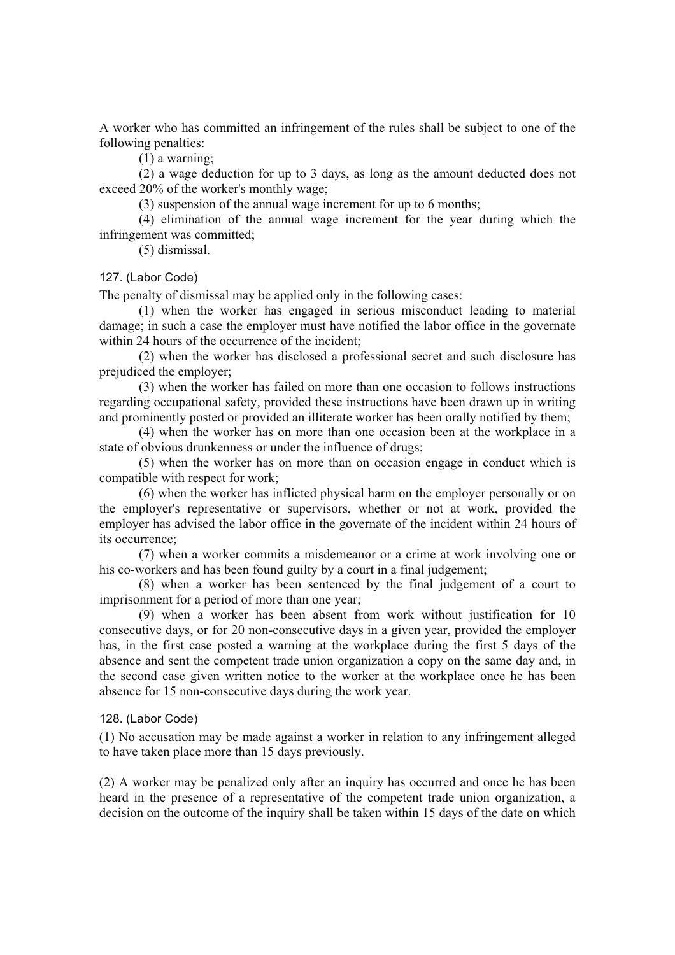A worker who has committed an infringement of the rules shall be subject to one of the following penalties:

(1) a warning;

 (2) a wage deduction for up to 3 days, as long as the amount deducted does not exceed 20% of the worker's monthly wage;

(3) suspension of the annual wage increment for up to 6 months;

 (4) elimination of the annual wage increment for the year during which the infringement was committed;

(5) dismissal.

127. (Labor Code)

The penalty of dismissal may be applied only in the following cases:

 (1) when the worker has engaged in serious misconduct leading to material damage; in such a case the employer must have notified the labor office in the governate within 24 hours of the occurrence of the incident;

 (2) when the worker has disclosed a professional secret and such disclosure has prejudiced the employer;

 (3) when the worker has failed on more than one occasion to follows instructions regarding occupational safety, provided these instructions have been drawn up in writing and prominently posted or provided an illiterate worker has been orally notified by them;

 (4) when the worker has on more than one occasion been at the workplace in a state of obvious drunkenness or under the influence of drugs;

 (5) when the worker has on more than on occasion engage in conduct which is compatible with respect for work;

 (6) when the worker has inflicted physical harm on the employer personally or on the employer's representative or supervisors, whether or not at work, provided the employer has advised the labor office in the governate of the incident within 24 hours of its occurrence;

 (7) when a worker commits a misdemeanor or a crime at work involving one or his co-workers and has been found guilty by a court in a final judgement;

 (8) when a worker has been sentenced by the final judgement of a court to imprisonment for a period of more than one year;

 (9) when a worker has been absent from work without justification for 10 consecutive days, or for 20 non-consecutive days in a given year, provided the employer has, in the first case posted a warning at the workplace during the first 5 days of the absence and sent the competent trade union organization a copy on the same day and, in the second case given written notice to the worker at the workplace once he has been absence for 15 non-consecutive days during the work year.

#### 128. (Labor Code)

(1) No accusation may be made against a worker in relation to any infringement alleged to have taken place more than 15 days previously.

(2) A worker may be penalized only after an inquiry has occurred and once he has been heard in the presence of a representative of the competent trade union organization, a decision on the outcome of the inquiry shall be taken within 15 days of the date on which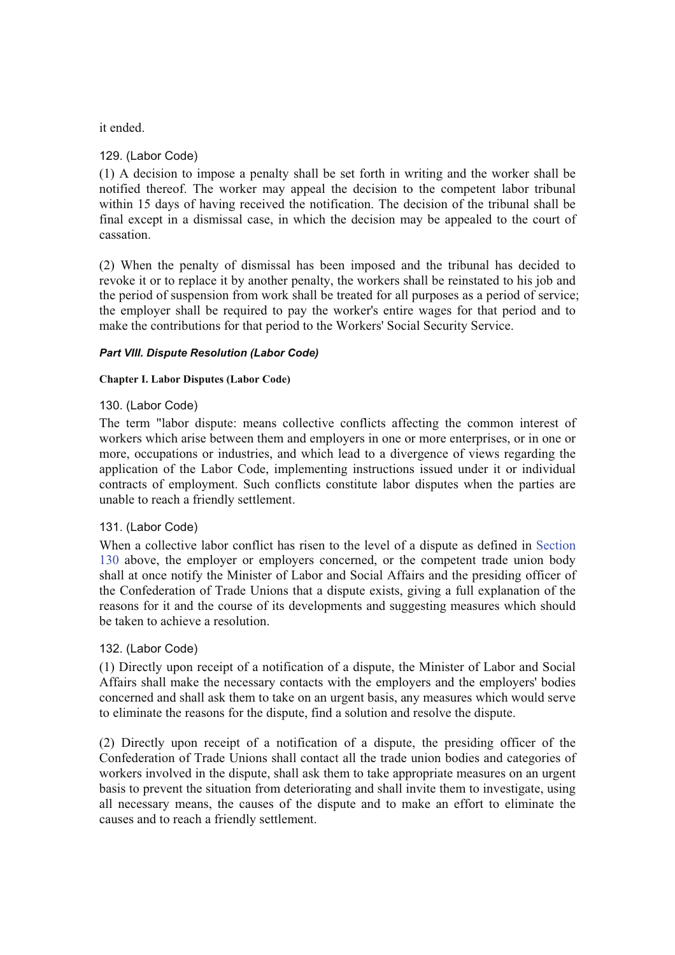it ended.

### 129. (Labor Code)

(1) A decision to impose a penalty shall be set forth in writing and the worker shall be notified thereof. The worker may appeal the decision to the competent labor tribunal within 15 days of having received the notification. The decision of the tribunal shall be final except in a dismissal case, in which the decision may be appealed to the court of cassation.

(2) When the penalty of dismissal has been imposed and the tribunal has decided to revoke it or to replace it by another penalty, the workers shall be reinstated to his job and the period of suspension from work shall be treated for all purposes as a period of service; the employer shall be required to pay the worker's entire wages for that period and to make the contributions for that period to the Workers' Social Security Service.

### *Part VIII. Dispute Resolution (Labor Code)*

### **Chapter I. Labor Disputes (Labor Code)**

### 130. (Labor Code)

The term "labor dispute: means collective conflicts affecting the common interest of workers which arise between them and employers in one or more enterprises, or in one or more, occupations or industries, and which lead to a divergence of views regarding the application of the Labor Code, implementing instructions issued under it or individual contracts of employment. Such conflicts constitute labor disputes when the parties are unable to reach a friendly settlement.

#### 131. (Labor Code)

When a collective labor conflict has risen to the level of a dispute as defined in Section 130 above, the employer or employers concerned, or the competent trade union body shall at once notify the Minister of Labor and Social Affairs and the presiding officer of the Confederation of Trade Unions that a dispute exists, giving a full explanation of the reasons for it and the course of its developments and suggesting measures which should be taken to achieve a resolution.

#### 132. (Labor Code)

(1) Directly upon receipt of a notification of a dispute, the Minister of Labor and Social Affairs shall make the necessary contacts with the employers and the employers' bodies concerned and shall ask them to take on an urgent basis, any measures which would serve to eliminate the reasons for the dispute, find a solution and resolve the dispute.

(2) Directly upon receipt of a notification of a dispute, the presiding officer of the Confederation of Trade Unions shall contact all the trade union bodies and categories of workers involved in the dispute, shall ask them to take appropriate measures on an urgent basis to prevent the situation from deteriorating and shall invite them to investigate, using all necessary means, the causes of the dispute and to make an effort to eliminate the causes and to reach a friendly settlement.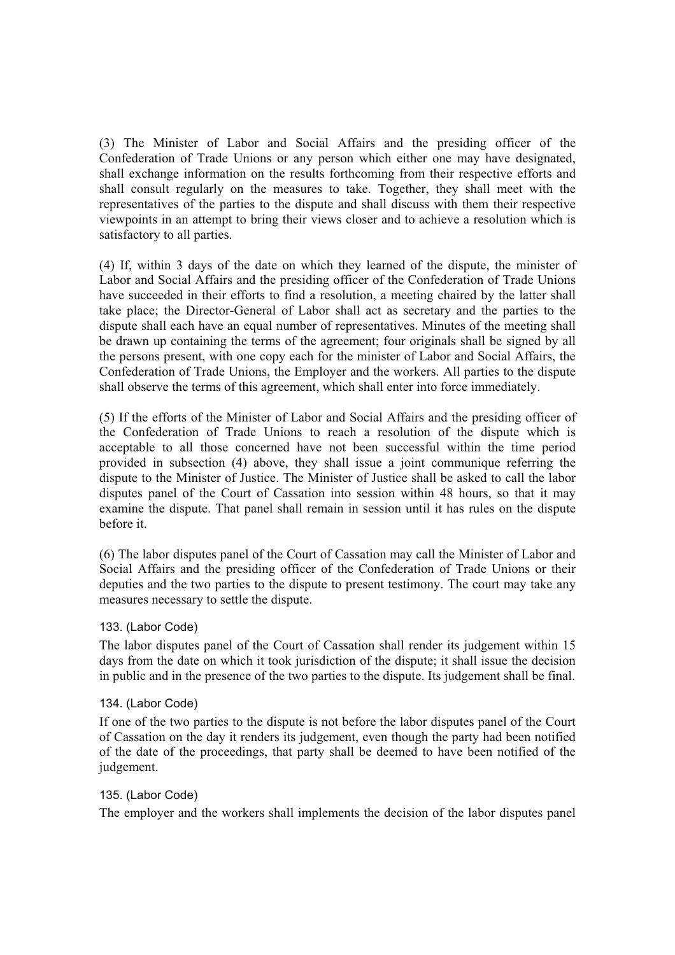(3) The Minister of Labor and Social Affairs and the presiding officer of the Confederation of Trade Unions or any person which either one may have designated, shall exchange information on the results forthcoming from their respective efforts and shall consult regularly on the measures to take. Together, they shall meet with the representatives of the parties to the dispute and shall discuss with them their respective viewpoints in an attempt to bring their views closer and to achieve a resolution which is satisfactory to all parties.

(4) If, within 3 days of the date on which they learned of the dispute, the minister of Labor and Social Affairs and the presiding officer of the Confederation of Trade Unions have succeeded in their efforts to find a resolution, a meeting chaired by the latter shall take place; the Director-General of Labor shall act as secretary and the parties to the dispute shall each have an equal number of representatives. Minutes of the meeting shall be drawn up containing the terms of the agreement; four originals shall be signed by all the persons present, with one copy each for the minister of Labor and Social Affairs, the Confederation of Trade Unions, the Employer and the workers. All parties to the dispute shall observe the terms of this agreement, which shall enter into force immediately.

(5) If the efforts of the Minister of Labor and Social Affairs and the presiding officer of the Confederation of Trade Unions to reach a resolution of the dispute which is acceptable to all those concerned have not been successful within the time period provided in subsection (4) above, they shall issue a joint communique referring the dispute to the Minister of Justice. The Minister of Justice shall be asked to call the labor disputes panel of the Court of Cassation into session within 48 hours, so that it may examine the dispute. That panel shall remain in session until it has rules on the dispute before it.

(6) The labor disputes panel of the Court of Cassation may call the Minister of Labor and Social Affairs and the presiding officer of the Confederation of Trade Unions or their deputies and the two parties to the dispute to present testimony. The court may take any measures necessary to settle the dispute.

# 133. (Labor Code)

The labor disputes panel of the Court of Cassation shall render its judgement within 15 days from the date on which it took jurisdiction of the dispute; it shall issue the decision in public and in the presence of the two parties to the dispute. Its judgement shall be final.

#### 134. (Labor Code)

If one of the two parties to the dispute is not before the labor disputes panel of the Court of Cassation on the day it renders its judgement, even though the party had been notified of the date of the proceedings, that party shall be deemed to have been notified of the judgement.

#### 135. (Labor Code)

The employer and the workers shall implements the decision of the labor disputes panel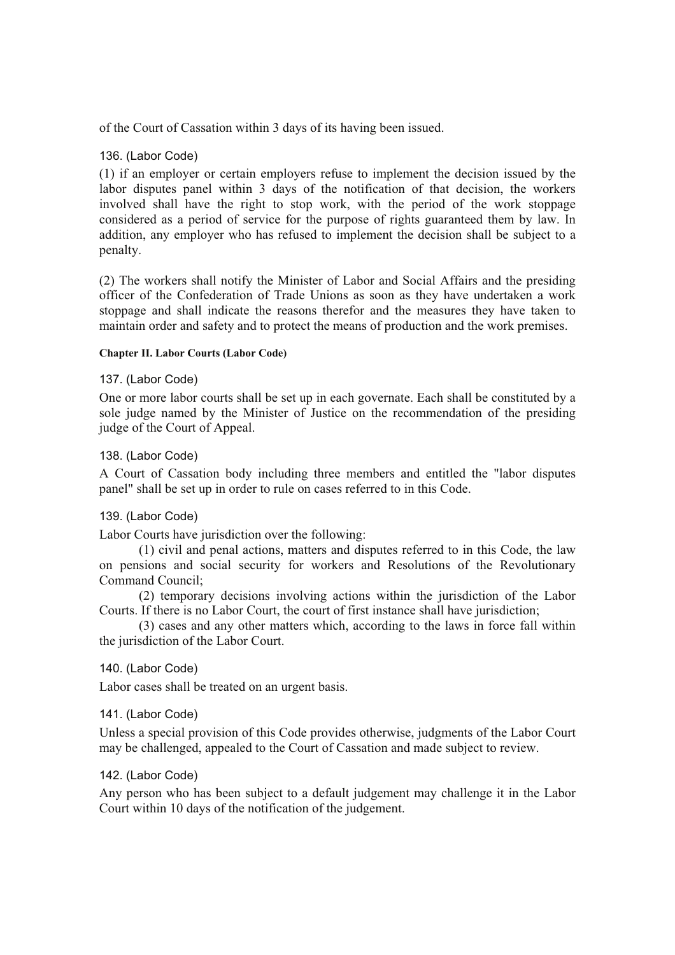of the Court of Cassation within 3 days of its having been issued.

### 136. (Labor Code)

(1) if an employer or certain employers refuse to implement the decision issued by the labor disputes panel within 3 days of the notification of that decision, the workers involved shall have the right to stop work, with the period of the work stoppage considered as a period of service for the purpose of rights guaranteed them by law. In addition, any employer who has refused to implement the decision shall be subject to a penalty.

(2) The workers shall notify the Minister of Labor and Social Affairs and the presiding officer of the Confederation of Trade Unions as soon as they have undertaken a work stoppage and shall indicate the reasons therefor and the measures they have taken to maintain order and safety and to protect the means of production and the work premises.

#### **Chapter II. Labor Courts (Labor Code)**

137. (Labor Code)

One or more labor courts shall be set up in each governate. Each shall be constituted by a sole judge named by the Minister of Justice on the recommendation of the presiding judge of the Court of Appeal.

#### 138. (Labor Code)

A Court of Cassation body including three members and entitled the "labor disputes panel" shall be set up in order to rule on cases referred to in this Code.

## 139. (Labor Code)

Labor Courts have jurisdiction over the following:

 (1) civil and penal actions, matters and disputes referred to in this Code, the law on pensions and social security for workers and Resolutions of the Revolutionary Command Council;

 (2) temporary decisions involving actions within the jurisdiction of the Labor Courts. If there is no Labor Court, the court of first instance shall have jurisdiction;

 (3) cases and any other matters which, according to the laws in force fall within the jurisdiction of the Labor Court.

#### 140. (Labor Code)

Labor cases shall be treated on an urgent basis.

#### 141. (Labor Code)

Unless a special provision of this Code provides otherwise, judgments of the Labor Court may be challenged, appealed to the Court of Cassation and made subject to review.

#### 142. (Labor Code)

Any person who has been subject to a default judgement may challenge it in the Labor Court within 10 days of the notification of the judgement.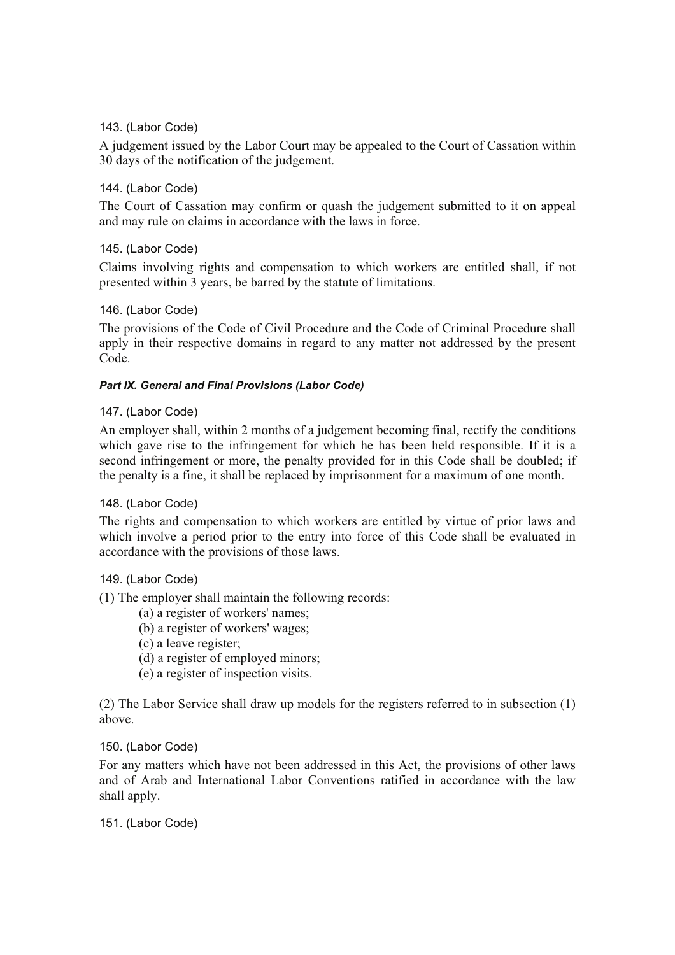# 143. (Labor Code)

A judgement issued by the Labor Court may be appealed to the Court of Cassation within 30 days of the notification of the judgement.

# 144. (Labor Code)

The Court of Cassation may confirm or quash the judgement submitted to it on appeal and may rule on claims in accordance with the laws in force.

# 145. (Labor Code)

Claims involving rights and compensation to which workers are entitled shall, if not presented within 3 years, be barred by the statute of limitations.

### 146. (Labor Code)

The provisions of the Code of Civil Procedure and the Code of Criminal Procedure shall apply in their respective domains in regard to any matter not addressed by the present Code.

### *Part IX. General and Final Provisions (Labor Code)*

# 147. (Labor Code)

An employer shall, within 2 months of a judgement becoming final, rectify the conditions which gave rise to the infringement for which he has been held responsible. If it is a second infringement or more, the penalty provided for in this Code shall be doubled; if the penalty is a fine, it shall be replaced by imprisonment for a maximum of one month.

# 148. (Labor Code)

The rights and compensation to which workers are entitled by virtue of prior laws and which involve a period prior to the entry into force of this Code shall be evaluated in accordance with the provisions of those laws.

# 149. (Labor Code)

(1) The employer shall maintain the following records:

- (a) a register of workers' names;
- (b) a register of workers' wages;
- (c) a leave register;
- (d) a register of employed minors;
- (e) a register of inspection visits.

(2) The Labor Service shall draw up models for the registers referred to in subsection (1) above.

#### 150. (Labor Code)

For any matters which have not been addressed in this Act, the provisions of other laws and of Arab and International Labor Conventions ratified in accordance with the law shall apply.